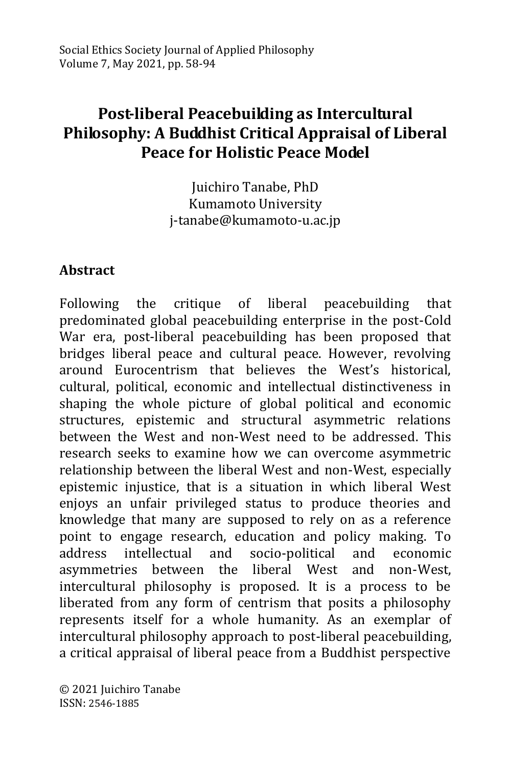# **Post-liberal Peacebuilding as Intercultural Philosophy: A Buddhist Critical Appraisal of Liberal Peace for Holistic Peace Model**

Juichiro Tanabe, PhD Kumamoto University j-tanabe@kumamoto-u.ac.jp

### **Abstract**

Following the critique of liberal peacebuilding that predominated global peacebuilding enterprise in the post-Cold War era, post-liberal peacebuilding has been proposed that bridges liberal peace and cultural peace. However, revolving around Eurocentrism that believes the West's historical, cultural, political, economic and intellectual distinctiveness in shaping the whole picture of global political and economic structures, epistemic and structural asymmetric relations between the West and non-West need to be addressed. This research seeks to examine how we can overcome asymmetric relationship between the liberal West and non-West, especially epistemic injustice, that is a situation in which liberal West enjoys an unfair privileged status to produce theories and knowledge that many are supposed to rely on as a reference point to engage research, education and policy making. To address intellectual and socio-political and economic asymmetries between the liberal West and non-West, intercultural philosophy is proposed. It is a process to be liberated from any form of centrism that posits a philosophy represents itself for a whole humanity. As an exemplar of intercultural philosophy approach to post-liberal peacebuilding, a critical appraisal of liberal peace from a Buddhist perspective

© 2021 Juichiro Tanabe ISSN: 2546-1885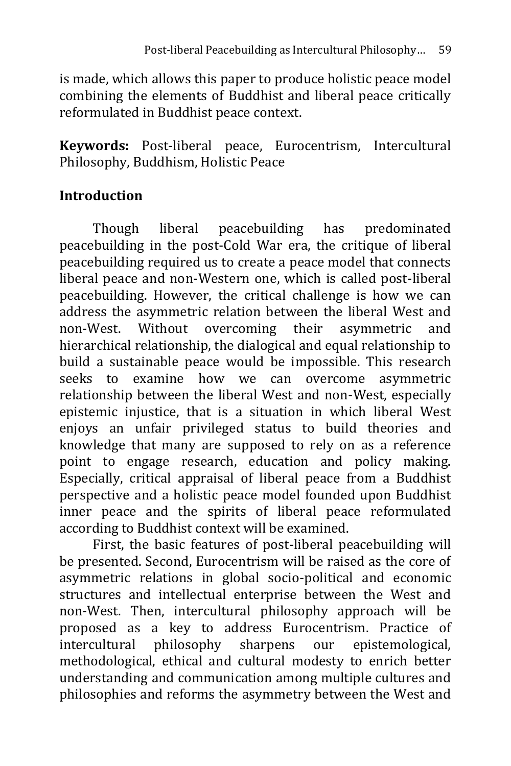is made, which allows this paper to produce holistic peace model combining the elements of Buddhist and liberal peace critically reformulated in Buddhist peace context.

**Keywords:** Post-liberal peace, Eurocentrism, Intercultural Philosophy, Buddhism, Holistic Peace

## **Introduction**

Though liberal peacebuilding has predominated peacebuilding in the post-Cold War era, the critique of liberal peacebuilding required us to create a peace model that connects liberal peace and non-Western one, which is called post-liberal peacebuilding. However, the critical challenge is how we can address the asymmetric relation between the liberal West and non-West. Without overcoming their asymmetric and hierarchical relationship, the dialogical and equal relationship to build a sustainable peace would be impossible. This research seeks to examine how we can overcome asymmetric relationship between the liberal West and non-West, especially epistemic injustice, that is a situation in which liberal West enjoys an unfair privileged status to build theories and knowledge that many are supposed to rely on as a reference point to engage research, education and policy making. Especially, critical appraisal of liberal peace from a Buddhist perspective and a holistic peace model founded upon Buddhist inner peace and the spirits of liberal peace reformulated according to Buddhist context will be examined.

First, the basic features of post-liberal peacebuilding will be presented. Second, Eurocentrism will be raised as the core of asymmetric relations in global socio-political and economic structures and intellectual enterprise between the West and non-West. Then, intercultural philosophy approach will be proposed as a key to address Eurocentrism. Practice of intercultural philosophy sharpens our epistemological, methodological, ethical and cultural modesty to enrich better understanding and communication among multiple cultures and philosophies and reforms the asymmetry between the West and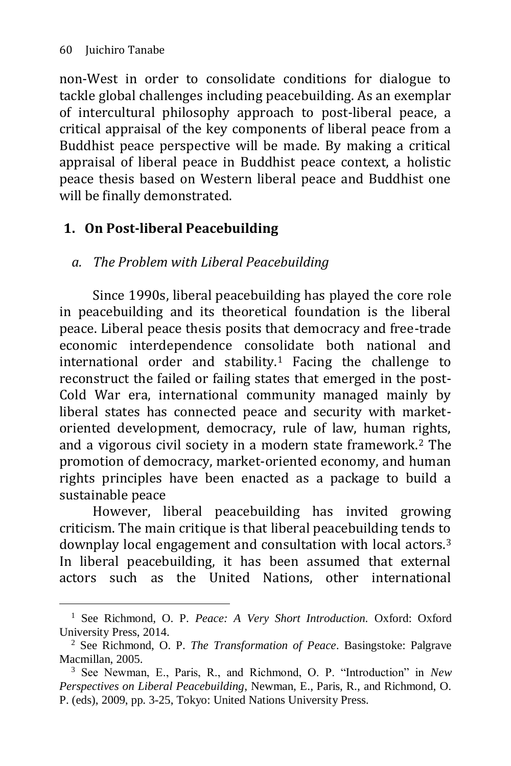-

non-West in order to consolidate conditions for dialogue to tackle global challenges including peacebuilding. As an exemplar of intercultural philosophy approach to post-liberal peace, a critical appraisal of the key components of liberal peace from a Buddhist peace perspective will be made. By making a critical appraisal of liberal peace in Buddhist peace context, a holistic peace thesis based on Western liberal peace and Buddhist one will be finally demonstrated.

## **1. On Post-liberal Peacebuilding**

## *a. The Problem with Liberal Peacebuilding*

Since 1990s, liberal peacebuilding has played the core role in peacebuilding and its theoretical foundation is the liberal peace. Liberal peace thesis posits that democracy and free-trade economic interdependence consolidate both national and international order and stability.<sup>1</sup> Facing the challenge to reconstruct the failed or failing states that emerged in the post-Cold War era, international community managed mainly by liberal states has connected peace and security with marketoriented development, democracy, rule of law, human rights, and a vigorous civil society in a modern state framework.<sup>2</sup> The promotion of democracy, market-oriented economy, and human rights principles have been enacted as a package to build a sustainable peace

However, liberal peacebuilding has invited growing criticism. The main critique is that liberal peacebuilding tends to downplay local engagement and consultation with local actors.<sup>3</sup> In liberal peacebuilding, it has been assumed that external actors such as the United Nations, other international

<sup>&</sup>lt;sup>1</sup> See Richmond, O. P. *Peace: A Very Short Introduction*. Oxford: Oxford University Press, 2014.

<sup>2</sup> See Richmond, O. P. *The Transformation of Peace*. Basingstoke: Palgrave Macmillan, 2005.

<sup>3</sup> See Newman, E., Paris, R., and Richmond, O. P. "Introduction" in *New Perspectives on Liberal Peacebuilding*, Newman, E., Paris, R., and Richmond, O. P. (eds), 2009, pp. 3-25, Tokyo: United Nations University Press.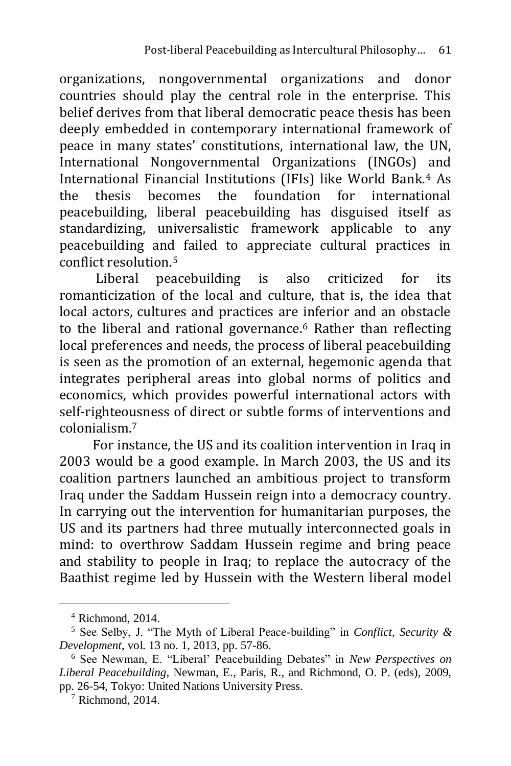organizations, nongovernmental organizations and donor countries should play the central role in the enterprise. This belief derives from that liberal democratic peace thesis has been deeply embedded in contemporary international framework of peace in many states' constitutions, international law, the UN, International Nongovernmental Organizations (INGOs) and International Financial Institutions (IFIs) like World Bank.<sup>4</sup> As the thesis becomes the foundation for international peacebuilding, liberal peacebuilding has disguised itself as standardizing, universalistic framework applicable to any peacebuilding and failed to appreciate cultural practices in conflict resolution.<sup>5</sup>

Liberal peacebuilding is also criticized for its romanticization of the local and culture, that is, the idea that local actors, cultures and practices are inferior and an obstacle to the liberal and rational governance.<sup>6</sup> Rather than reflecting local preferences and needs, the process of liberal peacebuilding is seen as the promotion of an external, hegemonic agenda that integrates peripheral areas into global norms of politics and economics, which provides powerful international actors with self-righteousness of direct or subtle forms of interventions and colonialism.<sup>7</sup>

For instance, the US and its coalition intervention in Iraq in 2003 would be a good example. In March 2003, the US and its coalition partners launched an ambitious project to transform Iraq under the Saddam Hussein reign into a democracy country. In carrying out the intervention for humanitarian purposes, the US and its partners had three mutually interconnected goals in mind: to overthrow Saddam Hussein regime and bring peace and stability to people in Iraq; to replace the autocracy of the Baathist regime led by Hussein with the Western liberal model

 $4$  Richmond, 2014.

<sup>5</sup> See Selby, J. "The Myth of Liberal Peace-building" in *Conflict, Security & Development*, vol. 13 no. 1, 2013, pp. 57-86.

<sup>6</sup> See Newman, E. "Liberal' Peacebuilding Debates" in *New Perspectives on Liberal Peacebuilding*, Newman, E., Paris, R., and Richmond, O. P. (eds), 2009, pp. 26-54, Tokyo: United Nations University Press.

 $7$  Richmond, 2014.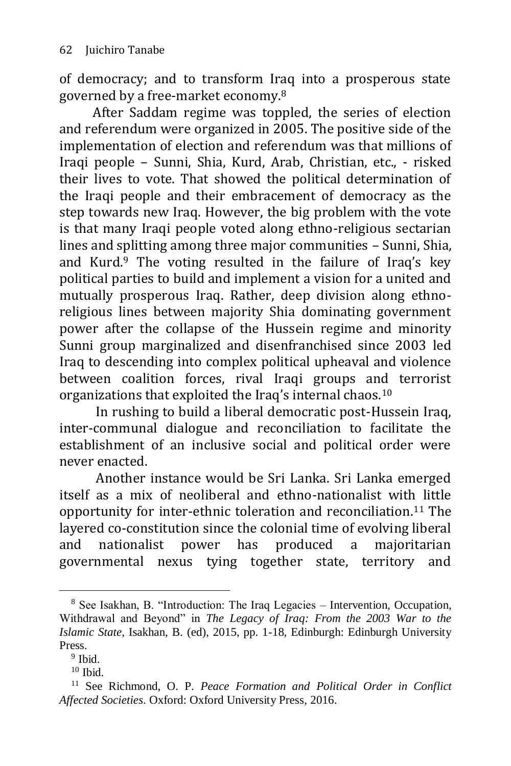of democracy; and to transform Iraq into a prosperous state governed by a free-market economy.<sup>8</sup>

After Saddam regime was toppled, the series of election and referendum were organized in 2005. The positive side of the implementation of election and referendum was that millions of Iraqi people – Sunni, Shia, Kurd, Arab, Christian, etc., - risked their lives to vote. That showed the political determination of the Iraqi people and their embracement of democracy as the step towards new Iraq. However, the big problem with the vote is that many Iraqi people voted along ethno-religious sectarian lines and splitting among three major communities – Sunni, Shia, and Kurd. $9$  The voting resulted in the failure of Iraq's key political parties to build and implement a vision for a united and mutually prosperous Iraq. Rather, deep division along ethnoreligious lines between majority Shia dominating government power after the collapse of the Hussein regime and minority Sunni group marginalized and disenfranchised since 2003 led Iraq to descending into complex political upheaval and violence between coalition forces, rival Iraqi groups and terrorist organizations that exploited the Iraq's internal chaos.<sup>10</sup>

In rushing to build a liberal democratic post-Hussein Iraq, inter-communal dialogue and reconciliation to facilitate the establishment of an inclusive social and political order were never enacted.

Another instance would be Sri Lanka. Sri Lanka emerged itself as a mix of neoliberal and ethno-nationalist with little opportunity for inter-ethnic toleration and reconciliation.<sup>11</sup> The layered co-constitution since the colonial time of evolving liberal and nationalist power has produced a majoritarian governmental nexus tying together state, territory and

<sup>8</sup> See Isakhan, B. "Introduction: The Iraq Legacies – Intervention, Occupation, Withdrawal and Beyond" in *The Legacy of Iraq: From the 2003 War to the Islamic State*, Isakhan, B. (ed), 2015, pp. 1-18, Edinburgh: Edinburgh University Press.

<sup>&</sup>lt;sup>9</sup> Ibid.

 $10$  Ibid.

<sup>11</sup> See Richmond, O. P. *Peace Formation and Political Order in Conflict Affected Societies*. Oxford: Oxford University Press, 2016.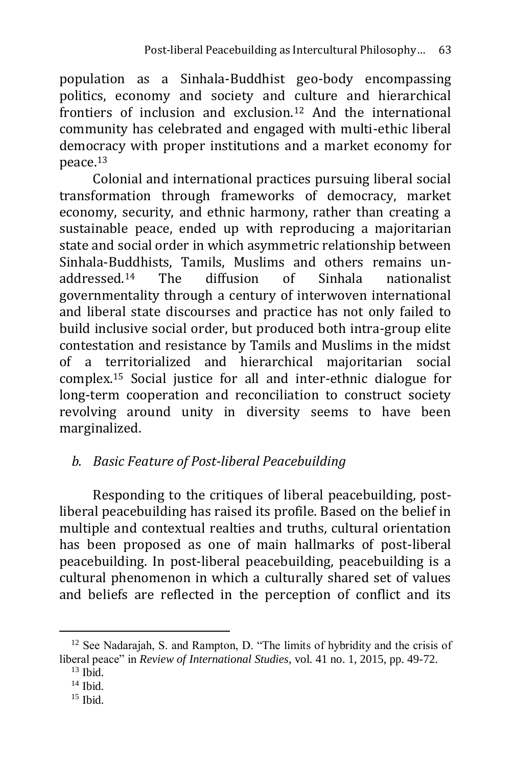population as a Sinhala-Buddhist geo-body encompassing politics, economy and society and culture and hierarchical frontiers of inclusion and exclusion.<sup>12</sup> And the international community has celebrated and engaged with multi-ethic liberal democracy with proper institutions and a market economy for peace.<sup>13</sup>

Colonial and international practices pursuing liberal social transformation through frameworks of democracy, market economy, security, and ethnic harmony, rather than creating a sustainable peace, ended up with reproducing a majoritarian state and social order in which asymmetric relationship between Sinhala-Buddhists, Tamils, Muslims and others remains unaddressed.<sup>14</sup> The diffusion of Sinhala nationalist governmentality through a century of interwoven international and liberal state discourses and practice has not only failed to build inclusive social order, but produced both intra-group elite contestation and resistance by Tamils and Muslims in the midst of a territorialized and hierarchical majoritarian social complex.<sup>15</sup> Social justice for all and inter-ethnic dialogue for long-term cooperation and reconciliation to construct society revolving around unity in diversity seems to have been marginalized.

## *b. Basic Feature of Post-liberal Peacebuilding*

Responding to the critiques of liberal peacebuilding, postliberal peacebuilding has raised its profile. Based on the belief in multiple and contextual realties and truths, cultural orientation has been proposed as one of main hallmarks of post-liberal peacebuilding. In post-liberal peacebuilding, peacebuilding is a cultural phenomenon in which a culturally shared set of values and beliefs are reflected in the perception of conflict and its

 $12$  See Nadarajah, S. and Rampton, D. "The limits of hybridity and the crisis of liberal peace" in *Review of International Studies*, vol. 41 no. 1, 2015, pp. 49-72.

 $13$  Ibid.

<sup>14</sup> Ibid.

 $15$  Ibid.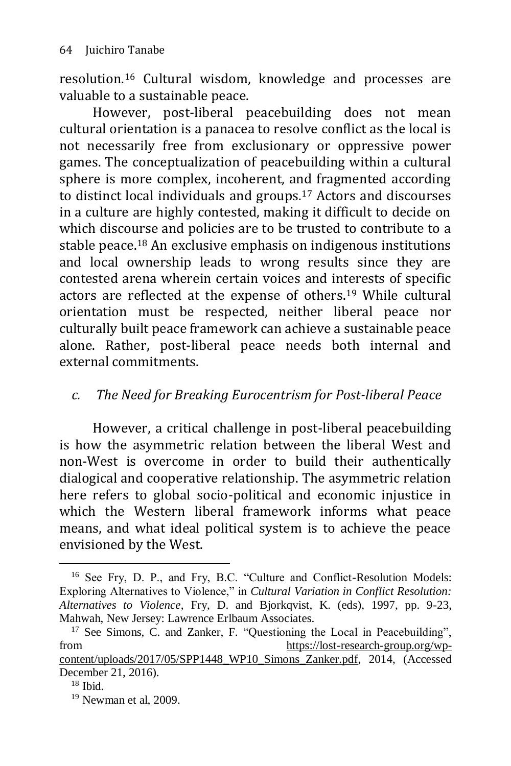resolution.<sup>16</sup> Cultural wisdom, knowledge and processes are valuable to a sustainable peace.

However, post-liberal peacebuilding does not mean cultural orientation is a panacea to resolve conflict as the local is not necessarily free from exclusionary or oppressive power games. The conceptualization of peacebuilding within a cultural sphere is more complex, incoherent, and fragmented according to distinct local individuals and groups.<sup>17</sup> Actors and discourses in a culture are highly contested, making it difficult to decide on which discourse and policies are to be trusted to contribute to a stable peace.<sup>18</sup> An exclusive emphasis on indigenous institutions and local ownership leads to wrong results since they are contested arena wherein certain voices and interests of specific actors are reflected at the expense of others.<sup>19</sup> While cultural orientation must be respected, neither liberal peace nor culturally built peace framework can achieve a sustainable peace alone. Rather, post-liberal peace needs both internal and external commitments.

### *c. The Need for Breaking Eurocentrism for Post-liberal Peace*

However, a critical challenge in post-liberal peacebuilding is how the asymmetric relation between the liberal West and non-West is overcome in order to build their authentically dialogical and cooperative relationship. The asymmetric relation here refers to global socio-political and economic injustice in which the Western liberal framework informs what peace means, and what ideal political system is to achieve the peace envisioned by the West.

<sup>&</sup>lt;sup>16</sup> See Fry, D. P., and Fry, B.C. "Culture and Conflict-Resolution Models: Exploring Alternatives to Violence," in *Cultural Variation in Conflict Resolution: Alternatives to Violence*, Fry, D. and Bjorkqvist, K. (eds), 1997, pp. 9-23, Mahwah, New Jersey: Lawrence Erlbaum Associates.

<sup>&</sup>lt;sup>17</sup> See Simons, C. and Zanker, F. "Questioning the Local in Peacebuilding", from [https://lost-research-group.org/wp](https://lost-research-group.org/wp-content/uploads/2017/05/SPP1448_WP10_Simons_Zanker.pdf)[content/uploads/2017/05/SPP1448\\_WP10\\_Simons\\_Zanker.pdf,](https://lost-research-group.org/wp-content/uploads/2017/05/SPP1448_WP10_Simons_Zanker.pdf) 2014, (Accessed December 21, 2016).

 $18$  Ibid.

<sup>&</sup>lt;sup>19</sup> Newman et al, 2009.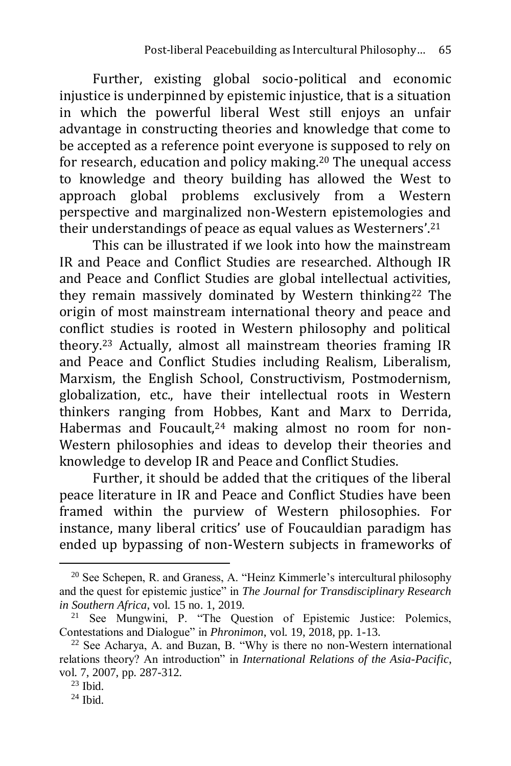Further, existing global socio-political and economic injustice is underpinned by epistemic injustice, that is a situation in which the powerful liberal West still enjoys an unfair advantage in constructing theories and knowledge that come to be accepted as a reference point everyone is supposed to rely on for research, education and policy making.<sup>20</sup> The unequal access to knowledge and theory building has allowed the West to approach global problems exclusively from a Western perspective and marginalized non-Western epistemologies and their understandings of peace as equal values as Westerners'.<sup>21</sup>

This can be illustrated if we look into how the mainstream IR and Peace and Conflict Studies are researched. Although IR and Peace and Conflict Studies are global intellectual activities, they remain massively dominated by Western thinking<sup>22</sup> The origin of most mainstream international theory and peace and conflict studies is rooted in Western philosophy and political theory.<sup>23</sup> Actually, almost all mainstream theories framing IR and Peace and Conflict Studies including Realism, Liberalism, Marxism, the English School, Constructivism, Postmodernism, globalization, etc., have their intellectual roots in Western thinkers ranging from Hobbes, Kant and Marx to Derrida, Habermas and Foucault,<sup>24</sup> making almost no room for non-Western philosophies and ideas to develop their theories and knowledge to develop IR and Peace and Conflict Studies.

Further, it should be added that the critiques of the liberal peace literature in IR and Peace and Conflict Studies have been framed within the purview of Western philosophies. For instance, many liberal critics' use of Foucauldian paradigm has ended up bypassing of non-Western subjects in frameworks of

 $20$  See Schepen, R. and Graness, A. "Heinz Kimmerle's intercultural philosophy and the quest for epistemic justice" in *The Journal for Transdisciplinary Research in Southern Africa*, vol. 15 no. 1, 2019.<br><sup>21</sup> See Mungwini P "The Ou

See Mungwini, P. "The Question of Epistemic Justice: Polemics, Contestations and Dialogue" in *Phronimon*, vol. 19, 2018, pp. 1-13.

 $22$  See Acharya, A. and Buzan, B. "Why is there no non-Western international relations theory? An introduction" in *International Relations of the Asia-Pacific*, vol. 7, 2007, pp. 287-312.

 $23$  Ibid.

 $24$  Ibid.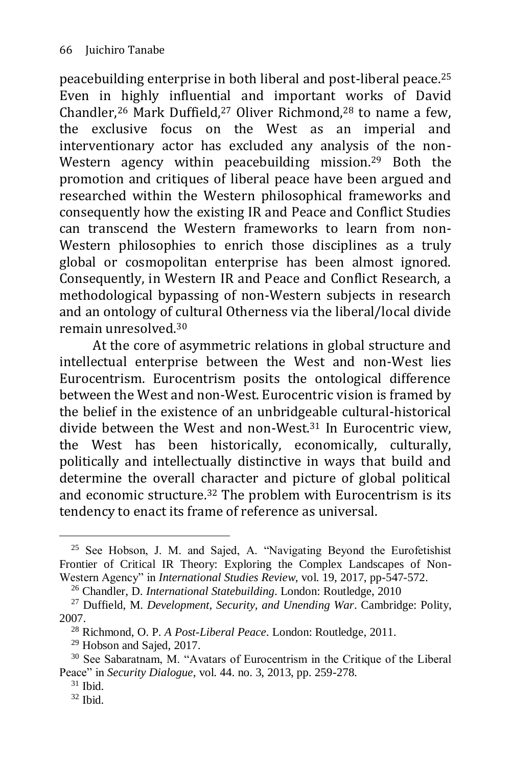peacebuilding enterprise in both liberal and post-liberal peace.<sup>25</sup> Even in highly influential and important works of David Chandler,<sup>26</sup> Mark Duffield,<sup>27</sup> Oliver Richmond,<sup>28</sup> to name a few, the exclusive focus on the West as an imperial and interventionary actor has excluded any analysis of the non-Western agency within peacebuilding mission.<sup>29</sup> Both the promotion and critiques of liberal peace have been argued and researched within the Western philosophical frameworks and consequently how the existing IR and Peace and Conflict Studies can transcend the Western frameworks to learn from non-Western philosophies to enrich those disciplines as a truly global or cosmopolitan enterprise has been almost ignored. Consequently, in Western IR and Peace and Conflict Research, a methodological bypassing of non-Western subjects in research and an ontology of cultural Otherness via the liberal/local divide remain unresolved.<sup>30</sup>

At the core of asymmetric relations in global structure and intellectual enterprise between the West and non-West lies Eurocentrism. Eurocentrism posits the ontological difference between the West and non-West. Eurocentric vision is framed by the belief in the existence of an unbridgeable cultural-historical divide between the West and non-West. $31$  In Eurocentric view, the West has been historically, economically, culturally, politically and intellectually distinctive in ways that build and determine the overall character and picture of global political and economic structure.<sup>32</sup> The problem with Eurocentrism is its tendency to enact its frame of reference as universal.

<sup>25</sup> See Hobson, J. M. and Sajed, A. "Navigating Beyond the Eurofetishist Frontier of Critical IR Theory: Exploring the Complex Landscapes of Non-Western Agency" in *International Studies Review*, vol. 19, 2017, pp-547-572.

<sup>26</sup> Chandler, D. *International Statebuilding*. London: Routledge, 2010

<sup>27</sup> Duffield, M. *Development, Security, and Unending War*. Cambridge: Polity, 2007.

<sup>28</sup> Richmond, O. P. *A Post-Liberal Peace*. London: Routledge, 2011.

<sup>29</sup> Hobson and Sajed, 2017.

<sup>30</sup> See Sabaratnam, M. "Avatars of Eurocentrism in the Critique of the Liberal Peace" in *Security Dialogue*, vol. 44. no. 3, 2013, pp. 259-278.

 $31$  Ibid.

 $32$  Ibid.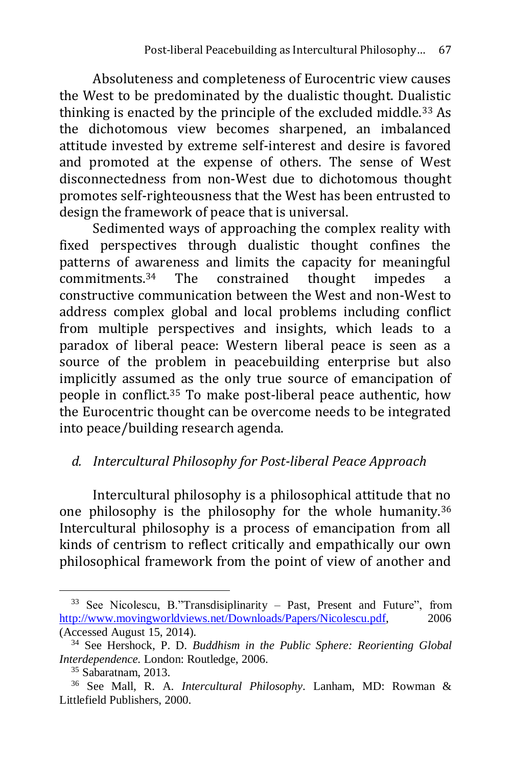Absoluteness and completeness of Eurocentric view causes the West to be predominated by the dualistic thought. Dualistic thinking is enacted by the principle of the excluded middle.<sup>33</sup> As the dichotomous view becomes sharpened, an imbalanced attitude invested by extreme self-interest and desire is favored and promoted at the expense of others. The sense of West disconnectedness from non-West due to dichotomous thought promotes self-righteousness that the West has been entrusted to design the framework of peace that is universal.

Sedimented ways of approaching the complex reality with fixed perspectives through dualistic thought confines the patterns of awareness and limits the capacity for meaningful commitments.<sup>34</sup> The constrained thought impedes a constructive communication between the West and non-West to address complex global and local problems including conflict from multiple perspectives and insights, which leads to a paradox of liberal peace: Western liberal peace is seen as a source of the problem in peacebuilding enterprise but also implicitly assumed as the only true source of emancipation of people in conflict.<sup>35</sup> To make post-liberal peace authentic, how the Eurocentric thought can be overcome needs to be integrated into peace/building research agenda.

### *d. Intercultural Philosophy for Post-liberal Peace Approach*

Intercultural philosophy is a philosophical attitude that no one philosophy is the philosophy for the whole humanity.<sup>36</sup> Intercultural philosophy is a process of emancipation from all kinds of centrism to reflect critically and empathically our own philosophical framework from the point of view of another and

<sup>-</sup><sup>33</sup> See Nicolescu, B."Transdisiplinarity – Past, Present and Future", from [http://www.movingworldviews.net/Downloads/Papers/Nicolescu.pdf,](http://www.movingworldviews.net/Downloads/Papers/Nicolescu.pdf) 2006 (Accessed August 15, 2014).

<sup>34</sup> See Hershock, P. D. *Buddhism in the Public Sphere: Reorienting Global Interdependence.* London: Routledge, 2006.

<sup>35</sup> Sabaratnam, 2013.

<sup>36</sup> See Mall, R. A. *Intercultural Philosophy*. Lanham, MD: Rowman & Littlefield Publishers, 2000.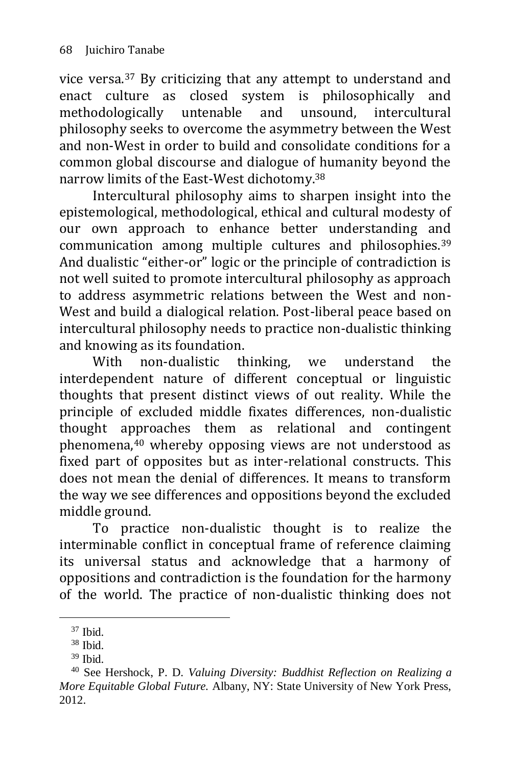vice versa.<sup>37</sup> By criticizing that any attempt to understand and enact culture as closed system is philosophically and methodologically untenable and unsound, intercultural philosophy seeks to overcome the asymmetry between the West and non-West in order to build and consolidate conditions for a common global discourse and dialogue of humanity beyond the narrow limits of the East-West dichotomy.<sup>38</sup>

Intercultural philosophy aims to sharpen insight into the epistemological, methodological, ethical and cultural modesty of our own approach to enhance better understanding and communication among multiple cultures and philosophies.<sup>39</sup> And dualistic "either-or" logic or the principle of contradiction is not well suited to promote intercultural philosophy as approach to address asymmetric relations between the West and non-West and build a dialogical relation. Post-liberal peace based on intercultural philosophy needs to practice non-dualistic thinking and knowing as its foundation.

With non-dualistic thinking, we understand the interdependent nature of different conceptual or linguistic thoughts that present distinct views of out reality. While the principle of excluded middle fixates differences, non-dualistic thought approaches them as relational and contingent phenomena,<sup>40</sup> whereby opposing views are not understood as fixed part of opposites but as inter-relational constructs. This does not mean the denial of differences. It means to transform the way we see differences and oppositions beyond the excluded middle ground.

To practice non-dualistic thought is to realize the interminable conflict in conceptual frame of reference claiming its universal status and acknowledge that a harmony of oppositions and contradiction is the foundation for the harmony of the world. The practice of non-dualistic thinking does not

 $37$  Ibid.

<sup>38</sup> Ibid.

 $39$  Ibid.

<sup>40</sup> See Hershock, P. D. *Valuing Diversity: Buddhist Reflection on Realizing a More Equitable Global Future.* Albany, NY: State University of New York Press, 2012.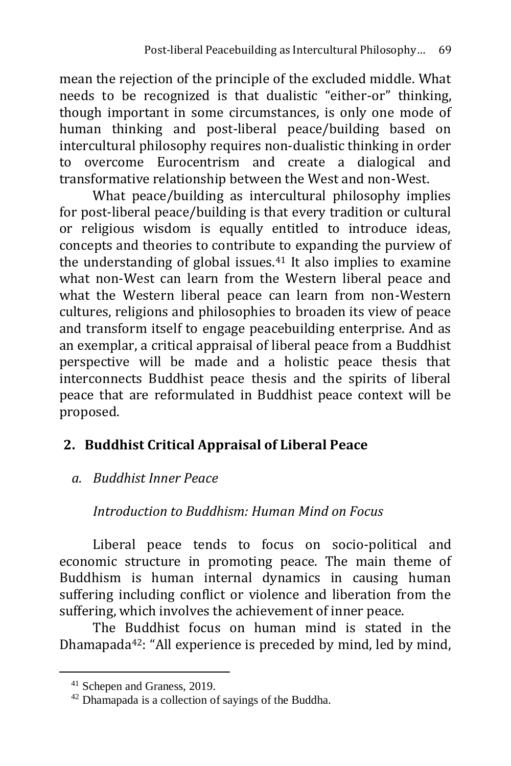mean the rejection of the principle of the excluded middle. What needs to be recognized is that dualistic "either-or" thinking, though important in some circumstances, is only one mode of human thinking and post-liberal peace/building based on intercultural philosophy requires non-dualistic thinking in order to overcome Eurocentrism and create a dialogical and transformative relationship between the West and non-West.

What peace/building as intercultural philosophy implies for post-liberal peace/building is that every tradition or cultural or religious wisdom is equally entitled to introduce ideas, concepts and theories to contribute to expanding the purview of the understanding of global issues.<sup>41</sup> It also implies to examine what non-West can learn from the Western liberal peace and what the Western liberal peace can learn from non-Western cultures, religions and philosophies to broaden its view of peace and transform itself to engage peacebuilding enterprise. And as an exemplar, a critical appraisal of liberal peace from a Buddhist perspective will be made and a holistic peace thesis that interconnects Buddhist peace thesis and the spirits of liberal peace that are reformulated in Buddhist peace context will be proposed.

## **2. Buddhist Critical Appraisal of Liberal Peace**

## *a. Buddhist Inner Peace*

## *Introduction to Buddhism: Human Mind on Focus*

Liberal peace tends to focus on socio-political and economic structure in promoting peace. The main theme of Buddhism is human internal dynamics in causing human suffering including conflict or violence and liberation from the suffering, which involves the achievement of inner peace.

The Buddhist focus on human mind is stated in the Dhamapada42: "All experience is preceded by mind, led by mind,

<sup>41</sup> Schepen and Graness, 2019.

<sup>42</sup> Dhamapada is a collection of sayings of the Buddha.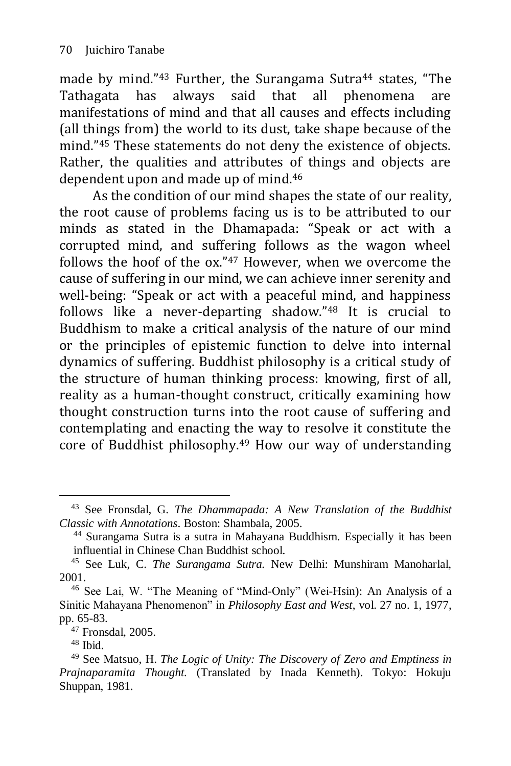made by mind."<sup>43</sup> Further, the Surangama Sutra<sup>44</sup> states, "The Tathagata has always said that all phenomena are manifestations of mind and that all causes and effects including (all things from) the world to its dust, take shape because of the mind."<sup>45</sup> These statements do not deny the existence of objects. Rather, the qualities and attributes of things and objects are dependent upon and made up of mind.<sup>46</sup>

As the condition of our mind shapes the state of our reality, the root cause of problems facing us is to be attributed to our minds as stated in the Dhamapada: "Speak or act with a corrupted mind, and suffering follows as the wagon wheel follows the hoof of the ox."<sup>47</sup> However, when we overcome the cause of suffering in our mind, we can achieve inner serenity and well-being: "Speak or act with a peaceful mind, and happiness follows like a never-departing shadow."<sup>48</sup> It is crucial to Buddhism to make a critical analysis of the nature of our mind or the principles of epistemic function to delve into internal dynamics of suffering. Buddhist philosophy is a critical study of the structure of human thinking process: knowing, first of all, reality as a human-thought construct, critically examining how thought construction turns into the root cause of suffering and contemplating and enacting the way to resolve it constitute the core of Buddhist philosophy.<sup>49</sup> How our way of understanding

<sup>43</sup> See Fronsdal, G. *The Dhammapada: A New Translation of the Buddhist Classic with Annotations*. Boston: Shambala, 2005.

<sup>44</sup> Surangama Sutra is a sutra in Mahayana Buddhism. Especially it has been influential in Chinese Chan Buddhist school.

<sup>45</sup> See Luk, C. *The Surangama Sutra.* New Delhi: Munshiram Manoharlal, 2001.

<sup>46</sup> See Lai, W. "The Meaning of "Mind-Only" (Wei-Hsin): An Analysis of a Sinitic Mahayana Phenomenon" in *Philosophy East and West*, vol. 27 no. 1, 1977, pp. 65-83.

<sup>47</sup> Fronsdal, 2005.

 $48$  Ibid.

<sup>49</sup> See Matsuo, H. *The Logic of Unity: The Discovery of Zero and Emptiness in Prajnaparamita Thought.* (Translated by Inada Kenneth). Tokyo: Hokuju Shuppan, 1981.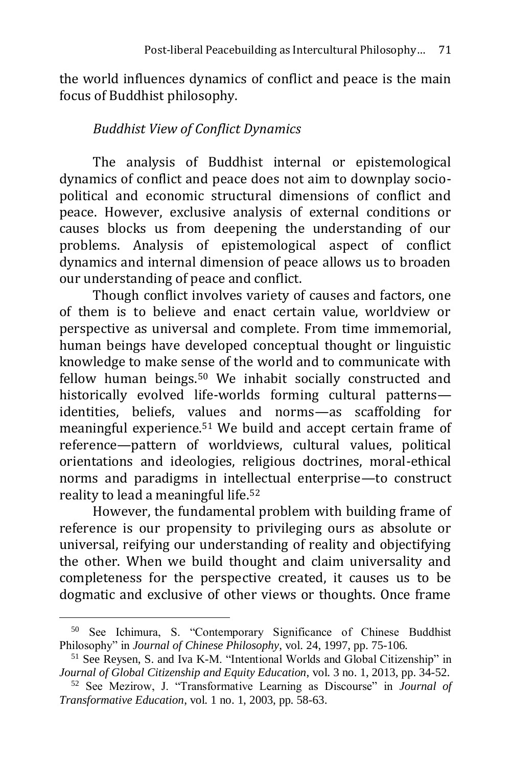the world influences dynamics of conflict and peace is the main focus of Buddhist philosophy.

### *Buddhist View of Conflict Dynamics*

The analysis of Buddhist internal or epistemological dynamics of conflict and peace does not aim to downplay sociopolitical and economic structural dimensions of conflict and peace. However, exclusive analysis of external conditions or causes blocks us from deepening the understanding of our problems. Analysis of epistemological aspect of conflict dynamics and internal dimension of peace allows us to broaden our understanding of peace and conflict.

Though conflict involves variety of causes and factors, one of them is to believe and enact certain value, worldview or perspective as universal and complete. From time immemorial, human beings have developed conceptual thought or linguistic knowledge to make sense of the world and to communicate with fellow human beings.<sup>50</sup> We inhabit socially constructed and historically evolved life-worlds forming cultural patterns identities, beliefs, values and norms—as scaffolding for meaningful experience.<sup>51</sup> We build and accept certain frame of reference—pattern of worldviews, cultural values, political orientations and ideologies, religious doctrines, moral-ethical norms and paradigms in intellectual enterprise—to construct reality to lead a meaningful life.<sup>52</sup>

However, the fundamental problem with building frame of reference is our propensity to privileging ours as absolute or universal, reifying our understanding of reality and objectifying the other. When we build thought and claim universality and completeness for the perspective created, it causes us to be dogmatic and exclusive of other views or thoughts. Once frame

<sup>50</sup> See Ichimura, S. "Contemporary Significance of Chinese Buddhist Philosophy" in *Journal of Chinese Philosophy*, vol. 24, 1997, pp. 75-106.

<sup>&</sup>lt;sup>51</sup> See Reysen, S. and Iva K-M. "Intentional Worlds and Global Citizenship" in *Journal of Global Citizenship and Equity Education*, vol. 3 no. 1, 2013, pp. 34-52.

<sup>52</sup> See Mezirow, J. "Transformative Learning as Discourse" in *Journal of Transformative Education*, vol. 1 no. 1, 2003, pp. 58-63.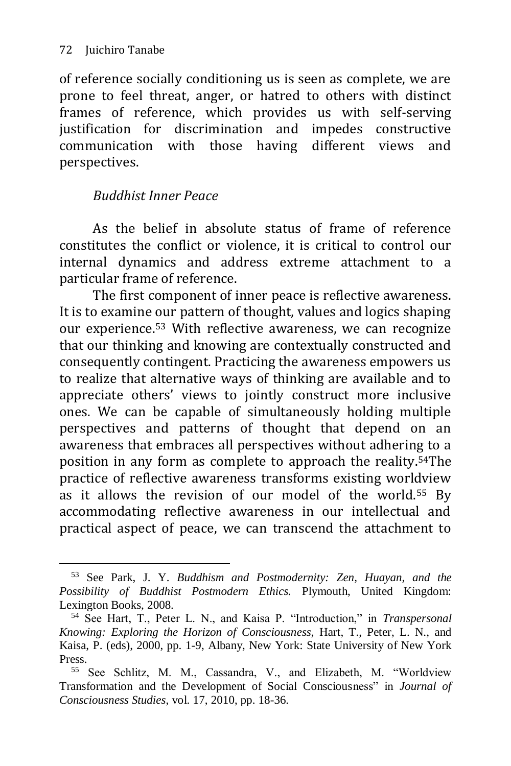-

of reference socially conditioning us is seen as complete, we are prone to feel threat, anger, or hatred to others with distinct frames of reference, which provides us with self-serving justification for discrimination and impedes constructive communication with those having different views and perspectives.

### *Buddhist Inner Peace*

As the belief in absolute status of frame of reference constitutes the conflict or violence, it is critical to control our internal dynamics and address extreme attachment to a particular frame of reference.

The first component of inner peace is reflective awareness. It is to examine our pattern of thought, values and logics shaping our experience.<sup>53</sup> With reflective awareness, we can recognize that our thinking and knowing are contextually constructed and consequently contingent. Practicing the awareness empowers us to realize that alternative ways of thinking are available and to appreciate others' views to jointly construct more inclusive ones. We can be capable of simultaneously holding multiple perspectives and patterns of thought that depend on an awareness that embraces all perspectives without adhering to a position in any form as complete to approach the reality.54The practice of reflective awareness transforms existing worldview as it allows the revision of our model of the world.<sup>55</sup> By accommodating reflective awareness in our intellectual and practical aspect of peace, we can transcend the attachment to

<sup>53</sup> See Park, J. Y. *Buddhism and Postmodernity: Zen, Huayan, and the Possibility of Buddhist Postmodern Ethics.* Plymouth, United Kingdom: Lexington Books, 2008.

<sup>54</sup> See Hart, T., Peter L. N., and Kaisa P. "Introduction," in *Transpersonal Knowing: Exploring the Horizon of Consciousness*, Hart, T., Peter, L. N., and Kaisa, P. (eds), 2000, pp. 1-9, Albany, New York: State University of New York Press.

<sup>55</sup> See Schlitz, M. M., Cassandra, V., and Elizabeth, M. "Worldview Transformation and the Development of Social Consciousness" in *Journal of Consciousness Studies*, vol. 17, 2010, pp. 18-36.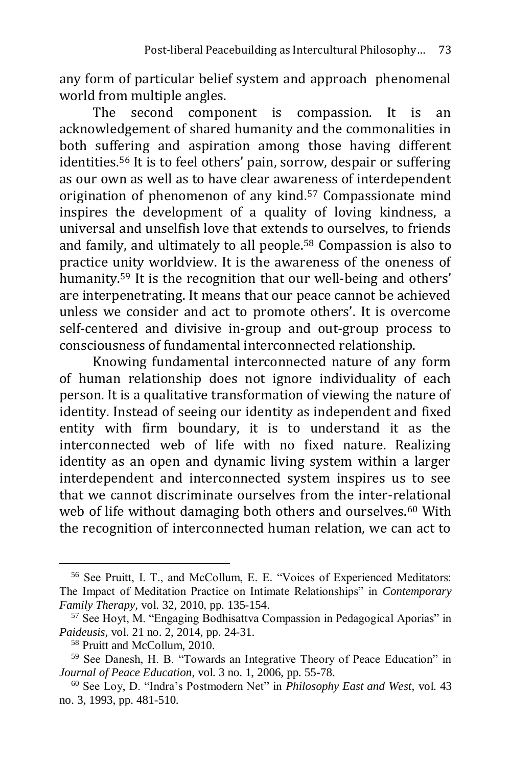any form of particular belief system and approach phenomenal world from multiple angles.

The second component is compassion. It is an acknowledgement of shared humanity and the commonalities in both suffering and aspiration among those having different identities.<sup>56</sup> It is to feel others' pain, sorrow, despair or suffering as our own as well as to have clear awareness of interdependent origination of phenomenon of any kind.<sup>57</sup> Compassionate mind inspires the development of a quality of loving kindness, a universal and unselfish love that extends to ourselves, to friends and family, and ultimately to all people.<sup>58</sup> Compassion is also to practice unity worldview. It is the awareness of the oneness of humanity.<sup>59</sup> It is the recognition that our well-being and others' are interpenetrating. It means that our peace cannot be achieved unless we consider and act to promote others'. It is overcome self-centered and divisive in-group and out-group process to consciousness of fundamental interconnected relationship.

Knowing fundamental interconnected nature of any form of human relationship does not ignore individuality of each person. It is a qualitative transformation of viewing the nature of identity. Instead of seeing our identity as independent and fixed entity with firm boundary, it is to understand it as the interconnected web of life with no fixed nature. Realizing identity as an open and dynamic living system within a larger interdependent and interconnected system inspires us to see that we cannot discriminate ourselves from the inter-relational web of life without damaging both others and ourselves.<sup>60</sup> With the recognition of interconnected human relation, we can act to

<sup>56</sup> See Pruitt, I. T., and McCollum, E. E. "Voices of Experienced Meditators: The Impact of Meditation Practice on Intimate Relationships" in *Contemporary Family Therapy,* vol. 32, 2010, pp. 135-154.

<sup>57</sup> See Hoyt, M. "Engaging Bodhisattva Compassion in Pedagogical Aporias" in *Paideusis*, vol. 21 no. 2, 2014, pp. 24-31.

<sup>58</sup> Pruitt and McCollum, 2010.

<sup>59</sup> See Danesh, H. B. "Towards an Integrative Theory of Peace Education" in *Journal of Peace Education*, vol. 3 no. 1, 2006, pp. 55-78.

<sup>60</sup> See Loy, D. "Indra's Postmodern Net" in *Philosophy East and West*, vol. 43 no. 3, 1993, pp. 481-510.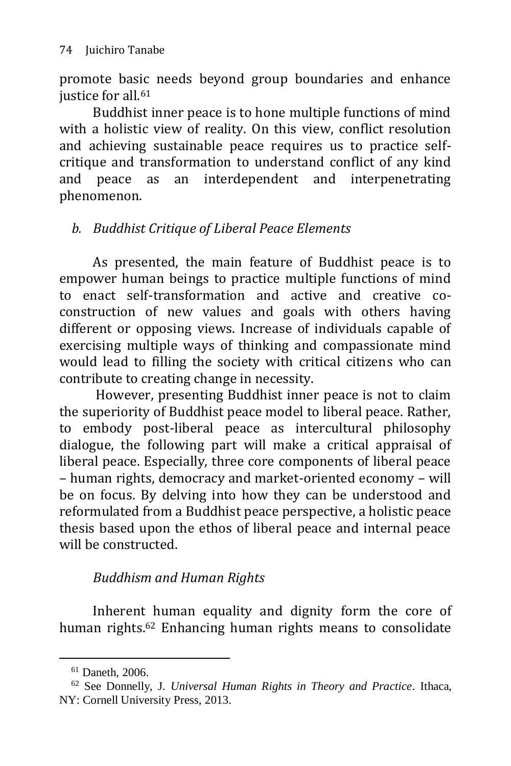promote basic needs beyond group boundaries and enhance justice for all.<sup>61</sup>

Buddhist inner peace is to hone multiple functions of mind with a holistic view of reality. On this view, conflict resolution and achieving sustainable peace requires us to practice selfcritique and transformation to understand conflict of any kind and peace as an interdependent and interpenetrating phenomenon.

## *b. Buddhist Critique of Liberal Peace Elements*

As presented, the main feature of Buddhist peace is to empower human beings to practice multiple functions of mind to enact self-transformation and active and creative coconstruction of new values and goals with others having different or opposing views. Increase of individuals capable of exercising multiple ways of thinking and compassionate mind would lead to filling the society with critical citizens who can contribute to creating change in necessity.

However, presenting Buddhist inner peace is not to claim the superiority of Buddhist peace model to liberal peace. Rather, to embody post-liberal peace as intercultural philosophy dialogue, the following part will make a critical appraisal of liberal peace. Especially, three core components of liberal peace – human rights, democracy and market-oriented economy – will be on focus. By delving into how they can be understood and reformulated from a Buddhist peace perspective, a holistic peace thesis based upon the ethos of liberal peace and internal peace will be constructed.

## *Buddhism and Human Rights*

Inherent human equality and dignity form the core of human rights.<sup>62</sup> Enhancing human rights means to consolidate

<sup>61</sup> Daneth, 2006.

<sup>62</sup> See Donnelly, J. *Universal Human Rights in Theory and Practice*. Ithaca, NY: Cornell University Press, 2013.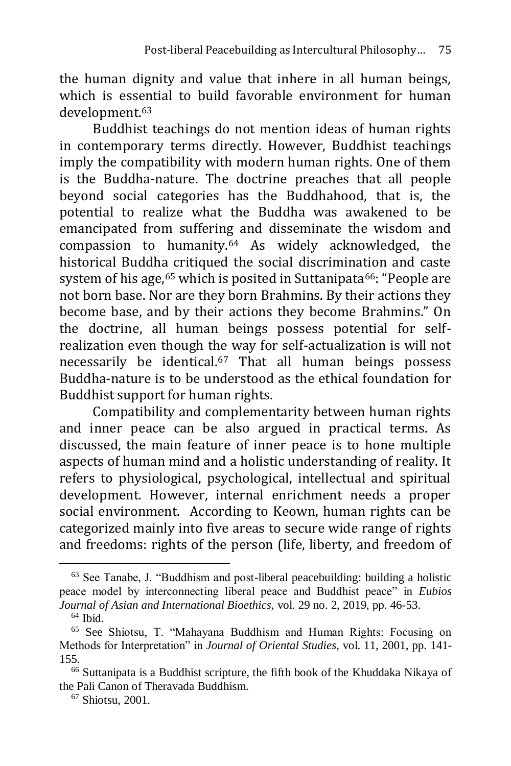the human dignity and value that inhere in all human beings, which is essential to build favorable environment for human development.<sup>63</sup>

Buddhist teachings do not mention ideas of human rights in contemporary terms directly. However, Buddhist teachings imply the compatibility with modern human rights. One of them is the Buddha-nature. The doctrine preaches that all people beyond social categories has the Buddhahood, that is, the potential to realize what the Buddha was awakened to be emancipated from suffering and disseminate the wisdom and compassion to humanity. $64$  As widely acknowledged, the historical Buddha critiqued the social discrimination and caste system of his age,  $65$  which is posited in Suttanipata $66$ : "People are not born base. Nor are they born Brahmins. By their actions they become base, and by their actions they become Brahmins." On the doctrine, all human beings possess potential for selfrealization even though the way for self-actualization is will not necessarily be identical.<sup>67</sup> That all human beings possess Buddha-nature is to be understood as the ethical foundation for Buddhist support for human rights.

Compatibility and complementarity between human rights and inner peace can be also argued in practical terms. As discussed, the main feature of inner peace is to hone multiple aspects of human mind and a holistic understanding of reality. It refers to physiological, psychological, intellectual and spiritual development. However, internal enrichment needs a proper social environment. According to Keown, human rights can be categorized mainly into five areas to secure wide range of rights and freedoms: rights of the person (life, liberty, and freedom of

<sup>63</sup> See Tanabe, J. "Buddhism and post-liberal peacebuilding: building a holistic peace model by interconnecting liberal peace and Buddhist peace" in *Eubios Journal of Asian and International Bioethics,* vol. 29 no. 2, 2019, pp. 46-53.

 $64$  Ibid.

<sup>65</sup> See Shiotsu, T. "Mahayana Buddhism and Human Rights: Focusing on Methods for Interpretation" in *Journal of Oriental Studies*, vol. 11, 2001, pp. 141- 155.

<sup>66</sup> Suttanipata is a Buddhist scripture, the fifth book of the Khuddaka Nikaya of the Pali Canon of Theravada Buddhism.

<sup>67</sup> Shiotsu, 2001.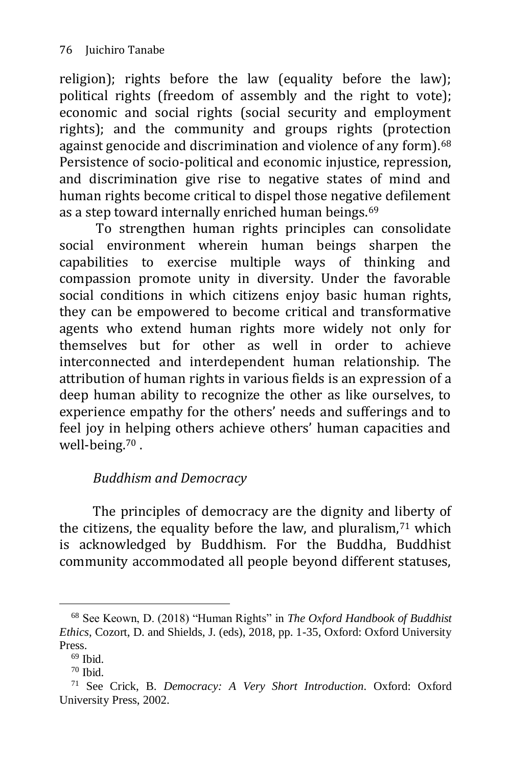religion); rights before the law (equality before the law); political rights (freedom of assembly and the right to vote); economic and social rights (social security and employment rights); and the community and groups rights (protection against genocide and discrimination and violence of any form).<sup>68</sup> Persistence of socio-political and economic injustice, repression, and discrimination give rise to negative states of mind and human rights become critical to dispel those negative defilement as a step toward internally enriched human beings.<sup>69</sup>

To strengthen human rights principles can consolidate social environment wherein human beings sharpen the capabilities to exercise multiple ways of thinking and compassion promote unity in diversity. Under the favorable social conditions in which citizens enjoy basic human rights, they can be empowered to become critical and transformative agents who extend human rights more widely not only for themselves but for other as well in order to achieve interconnected and interdependent human relationship. The attribution of human rights in various fields is an expression of a deep human ability to recognize the other as like ourselves, to experience empathy for the others' needs and sufferings and to feel joy in helping others achieve others' human capacities and well-being.<sup>70</sup> .

## *Buddhism and Democracy*

The principles of democracy are the dignity and liberty of the citizens, the equality before the law, and pluralism, $71$  which is acknowledged by Buddhism. For the Buddha, Buddhist community accommodated all people beyond different statuses,

<sup>-</sup><sup>68</sup> See Keown, D. (2018) "Human Rights" in *The Oxford Handbook of Buddhist Ethics*, Cozort, D. and Shields, J. (eds), 2018, pp. 1-35, Oxford: Oxford University Press.

 $69$  Ibid.

<sup>70</sup> Ibid.

<sup>71</sup> See Crick, B. *Democracy: A Very Short Introduction*. Oxford: Oxford University Press, 2002.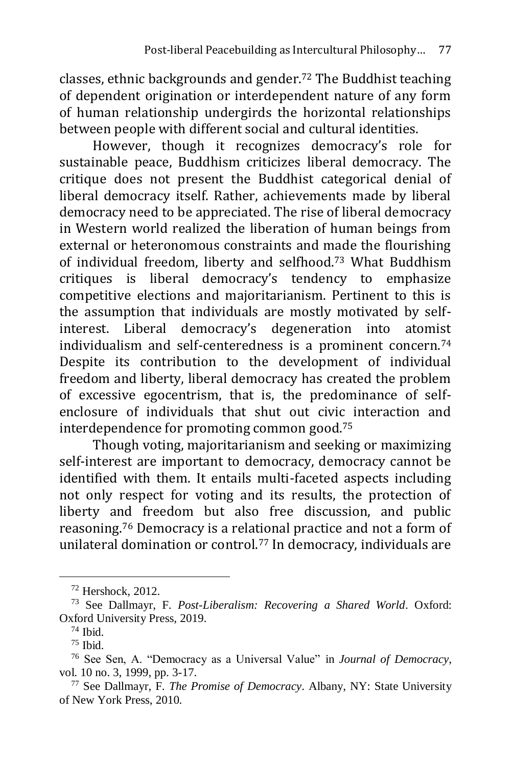classes, ethnic backgrounds and gender.<sup>72</sup> The Buddhist teaching of dependent origination or interdependent nature of any form of human relationship undergirds the horizontal relationships between people with different social and cultural identities.

However, though it recognizes democracy's role for sustainable peace, Buddhism criticizes liberal democracy. The critique does not present the Buddhist categorical denial of liberal democracy itself. Rather, achievements made by liberal democracy need to be appreciated. The rise of liberal democracy in Western world realized the liberation of human beings from external or heteronomous constraints and made the flourishing of individual freedom, liberty and selfhood.<sup>73</sup> What Buddhism critiques is liberal democracy's tendency to emphasize competitive elections and majoritarianism. Pertinent to this is the assumption that individuals are mostly motivated by selfinterest. Liberal democracy's degeneration into atomist individualism and self-centeredness is a prominent concern.<sup>74</sup> Despite its contribution to the development of individual freedom and liberty, liberal democracy has created the problem of excessive egocentrism, that is, the predominance of selfenclosure of individuals that shut out civic interaction and interdependence for promoting common good.<sup>75</sup>

Though voting, majoritarianism and seeking or maximizing self-interest are important to democracy, democracy cannot be identified with them. It entails multi-faceted aspects including not only respect for voting and its results, the protection of liberty and freedom but also free discussion, and public reasoning.<sup>76</sup> Democracy is a relational practice and not a form of unilateral domination or control.<sup>77</sup> In democracy, individuals are

<sup>72</sup> Hershock, 2012.

<sup>73</sup> See Dallmayr, F. *Post-Liberalism: Recovering a Shared World*. Oxford: Oxford University Press, 2019.

<sup>74</sup> Ibid.

 $75$  Ibid.

<sup>76</sup> See Sen, A. "Democracy as a Universal Value" in *Journal of Democracy*, vol. 10 no. 3, 1999, pp. 3-17.

<sup>77</sup> See Dallmayr, F. *The Promise of Democracy*. Albany, NY: State University of New York Press, 2010.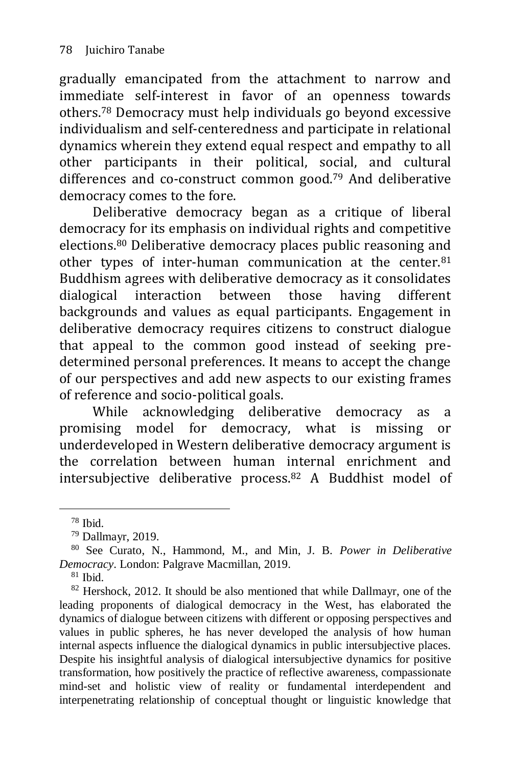gradually emancipated from the attachment to narrow and immediate self-interest in favor of an openness towards others.<sup>78</sup> Democracy must help individuals go beyond excessive individualism and self-centeredness and participate in relational dynamics wherein they extend equal respect and empathy to all other participants in their political, social, and cultural differences and co-construct common good.<sup>79</sup> And deliberative democracy comes to the fore.

Deliberative democracy began as a critique of liberal democracy for its emphasis on individual rights and competitive elections.<sup>80</sup> Deliberative democracy places public reasoning and other types of inter-human communication at the center.<sup>81</sup> Buddhism agrees with deliberative democracy as it consolidates dialogical interaction between those having different backgrounds and values as equal participants. Engagement in deliberative democracy requires citizens to construct dialogue that appeal to the common good instead of seeking predetermined personal preferences. It means to accept the change of our perspectives and add new aspects to our existing frames of reference and socio-political goals.

While acknowledging deliberative democracy as a promising model for democracy, what is missing or underdeveloped in Western deliberative democracy argument is the correlation between human internal enrichment and intersubjective deliberative process.<sup>82</sup> A Buddhist model of

 $78$  Ibid.

<sup>79</sup> Dallmayr, 2019.

<sup>80</sup> See Curato, N., Hammond, M., and Min, J. B. *Power in Deliberative Democracy*. London: Palgrave Macmillan, 2019.

 $81$  Ibid.

<sup>&</sup>lt;sup>82</sup> Hershock, 2012. It should be also mentioned that while Dallmayr, one of the leading proponents of dialogical democracy in the West, has elaborated the dynamics of dialogue between citizens with different or opposing perspectives and values in public spheres, he has never developed the analysis of how human internal aspects influence the dialogical dynamics in public intersubjective places. Despite his insightful analysis of dialogical intersubjective dynamics for positive transformation, how positively the practice of reflective awareness, compassionate mind-set and holistic view of reality or fundamental interdependent and interpenetrating relationship of conceptual thought or linguistic knowledge that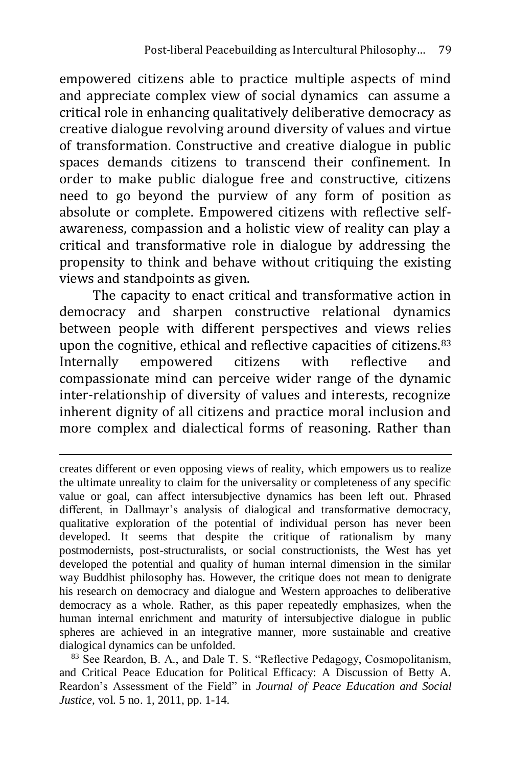empowered citizens able to practice multiple aspects of mind and appreciate complex view of social dynamics can assume a critical role in enhancing qualitatively deliberative democracy as creative dialogue revolving around diversity of values and virtue of transformation. Constructive and creative dialogue in public spaces demands citizens to transcend their confinement. In order to make public dialogue free and constructive, citizens need to go beyond the purview of any form of position as absolute or complete. Empowered citizens with reflective selfawareness, compassion and a holistic view of reality can play a critical and transformative role in dialogue by addressing the propensity to think and behave without critiquing the existing views and standpoints as given.

The capacity to enact critical and transformative action in democracy and sharpen constructive relational dynamics between people with different perspectives and views relies upon the cognitive, ethical and reflective capacities of citizens.<sup>83</sup> Internally empowered citizens with reflective and compassionate mind can perceive wider range of the dynamic inter-relationship of diversity of values and interests, recognize inherent dignity of all citizens and practice moral inclusion and more complex and dialectical forms of reasoning. Rather than

creates different or even opposing views of reality, which empowers us to realize the ultimate unreality to claim for the universality or completeness of any specific value or goal, can affect intersubjective dynamics has been left out. Phrased different, in Dallmayr's analysis of dialogical and transformative democracy, qualitative exploration of the potential of individual person has never been developed. It seems that despite the critique of rationalism by many postmodernists, post-structuralists, or social constructionists, the West has yet developed the potential and quality of human internal dimension in the similar way Buddhist philosophy has. However, the critique does not mean to denigrate his research on democracy and dialogue and Western approaches to deliberative democracy as a whole. Rather, as this paper repeatedly emphasizes, when the human internal enrichment and maturity of intersubjective dialogue in public spheres are achieved in an integrative manner, more sustainable and creative dialogical dynamics can be unfolded.

<sup>83</sup> See Reardon, B. A., and Dale T. S. "Reflective Pedagogy, Cosmopolitanism, and Critical Peace Education for Political Efficacy: A Discussion of Betty A. Reardon's Assessment of the Field" in *Journal of Peace Education and Social Justice*, vol. 5 no. 1, 2011, pp. 1-14.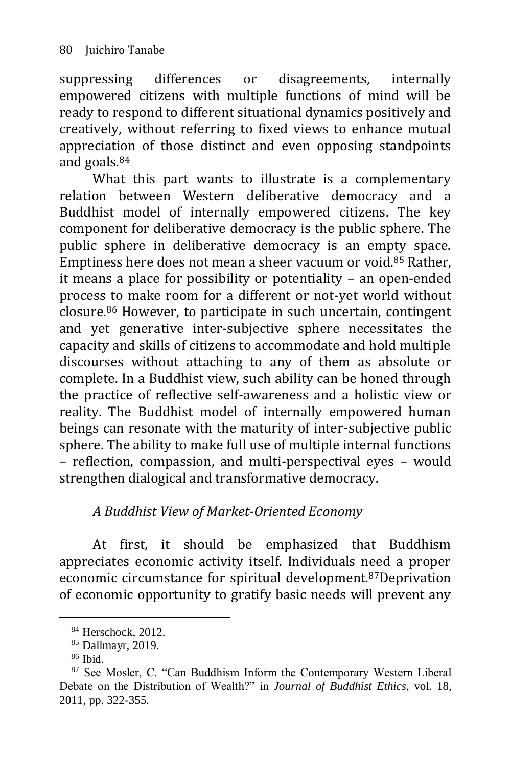suppressing differences or disagreements, internally empowered citizens with multiple functions of mind will be ready to respond to different situational dynamics positively and creatively, without referring to fixed views to enhance mutual appreciation of those distinct and even opposing standpoints and goals.<sup>84</sup>

What this part wants to illustrate is a complementary relation between Western deliberative democracy and a Buddhist model of internally empowered citizens. The key component for deliberative democracy is the public sphere. The public sphere in deliberative democracy is an empty space. Emptiness here does not mean a sheer vacuum or void.<sup>85</sup> Rather, it means a place for possibility or potentiality – an open-ended process to make room for a different or not-yet world without closure.<sup>86</sup> However, to participate in such uncertain, contingent and yet generative inter-subjective sphere necessitates the capacity and skills of citizens to accommodate and hold multiple discourses without attaching to any of them as absolute or complete. In a Buddhist view, such ability can be honed through the practice of reflective self-awareness and a holistic view or reality. The Buddhist model of internally empowered human beings can resonate with the maturity of inter-subjective public sphere. The ability to make full use of multiple internal functions – reflection, compassion, and multi-perspectival eyes – would strengthen dialogical and transformative democracy.

### *A Buddhist View of Market-Oriented Economy*

At first, it should be emphasized that Buddhism appreciates economic activity itself. Individuals need a proper economic circumstance for spiritual development.87Deprivation of economic opportunity to gratify basic needs will prevent any

<sup>84</sup> Herschock, 2012.

<sup>85</sup> Dallmayr, 2019.

 $86$  Ibid.

<sup>87</sup> See Mosler, C. "Can Buddhism Inform the Contemporary Western Liberal Debate on the Distribution of Wealth?" in *Journal of Buddhist Ethics*, vol. 18, 2011, pp. 322-355.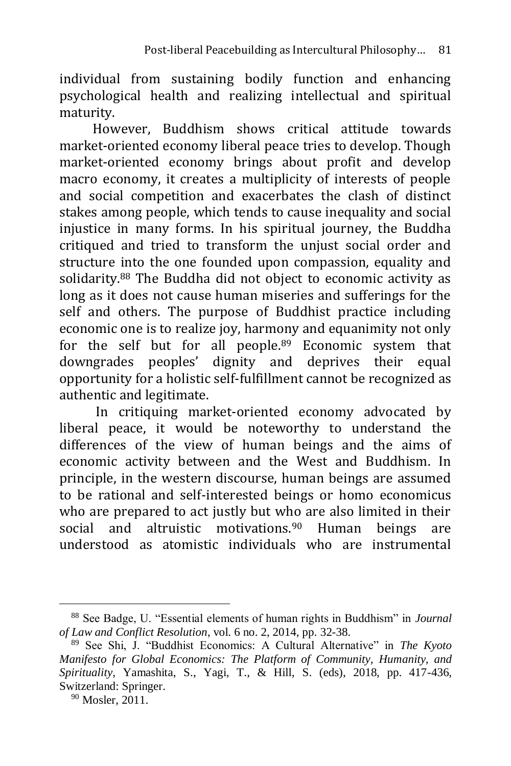individual from sustaining bodily function and enhancing psychological health and realizing intellectual and spiritual maturity.

However, Buddhism shows critical attitude towards market-oriented economy liberal peace tries to develop. Though market-oriented economy brings about profit and develop macro economy, it creates a multiplicity of interests of people and social competition and exacerbates the clash of distinct stakes among people, which tends to cause inequality and social injustice in many forms. In his spiritual journey, the Buddha critiqued and tried to transform the unjust social order and structure into the one founded upon compassion, equality and solidarity.<sup>88</sup> The Buddha did not object to economic activity as long as it does not cause human miseries and sufferings for the self and others. The purpose of Buddhist practice including economic one is to realize joy, harmony and equanimity not only for the self but for all people.<sup>89</sup> Economic system that downgrades peoples' dignity and deprives their equal opportunity for a holistic self-fulfillment cannot be recognized as authentic and legitimate.

In critiquing market-oriented economy advocated by liberal peace, it would be noteworthy to understand the differences of the view of human beings and the aims of economic activity between and the West and Buddhism. In principle, in the western discourse, human beings are assumed to be rational and self-interested beings or homo economicus who are prepared to act justly but who are also limited in their social and altruistic motivations.<sup>90</sup> Human beings are understood as atomistic individuals who are instrumental

<sup>88</sup> See Badge, U. "Essential elements of human rights in Buddhism" in *Journal of Law and Conflict Resolution*, vol. 6 no. 2, 2014, pp. 32-38.

<sup>89</sup> See Shi, J. "Buddhist Economics: A Cultural Alternative" in *The Kyoto Manifesto for Global Economics: The Platform of Community, Humanity, and Spirituality*, Yamashita, S., Yagi, T., & Hill, S. (eds), 2018, pp. 417-436, Switzerland: Springer.

<sup>&</sup>lt;sup>90</sup> Mosler, 2011.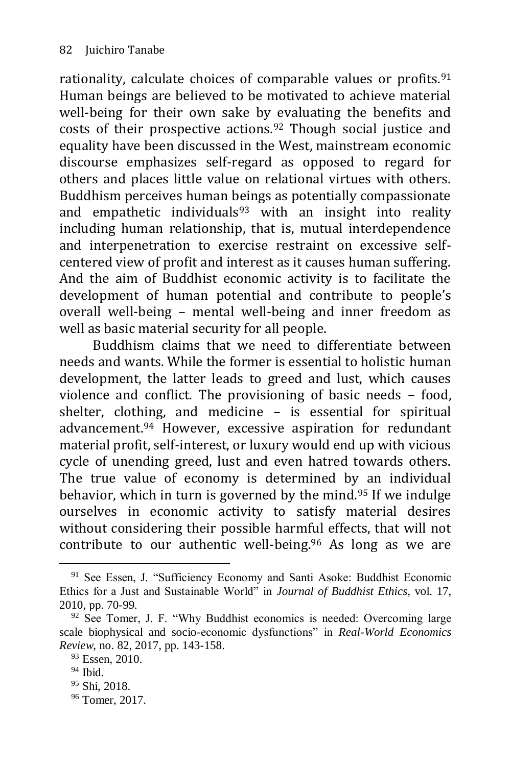rationality, calculate choices of comparable values or profits.<sup>91</sup> Human beings are believed to be motivated to achieve material well-being for their own sake by evaluating the benefits and costs of their prospective actions.<sup>92</sup> Though social justice and equality have been discussed in the West, mainstream economic discourse emphasizes self-regard as opposed to regard for others and places little value on relational virtues with others. Buddhism perceives human beings as potentially compassionate and empathetic individuals $93$  with an insight into reality including human relationship, that is, mutual interdependence and interpenetration to exercise restraint on excessive selfcentered view of profit and interest as it causes human suffering. And the aim of Buddhist economic activity is to facilitate the development of human potential and contribute to people's overall well-being – mental well-being and inner freedom as well as basic material security for all people.

Buddhism claims that we need to differentiate between needs and wants. While the former is essential to holistic human development, the latter leads to greed and lust, which causes violence and conflict. The provisioning of basic needs – food, shelter, clothing, and medicine – is essential for spiritual advancement.<sup>94</sup> However, excessive aspiration for redundant material profit, self-interest, or luxury would end up with vicious cycle of unending greed, lust and even hatred towards others. The true value of economy is determined by an individual behavior, which in turn is governed by the mind.<sup>95</sup> If we indulge ourselves in economic activity to satisfy material desires without considering their possible harmful effects, that will not contribute to our authentic well-being.<sup>96</sup> As long as we are

<sup>&</sup>lt;sup>91</sup> See Essen, J. "Sufficiency Economy and Santi Asoke: Buddhist Economic Ethics for a Just and Sustainable World" in *Journal of Buddhist Ethics*, vol. 17, 2010, pp. 70-99.

<sup>&</sup>lt;sup>92</sup> See Tomer, J. F. "Why Buddhist economics is needed: Overcoming large scale biophysical and socio-economic dysfunctions" in *Real-World Economics Review*, no. 82, 2017, pp. 143-158.

<sup>&</sup>lt;sup>93</sup> Essen, 2010.

<sup>94</sup> Ibid.

<sup>95</sup> Shi, 2018.

<sup>96</sup> Tomer, 2017.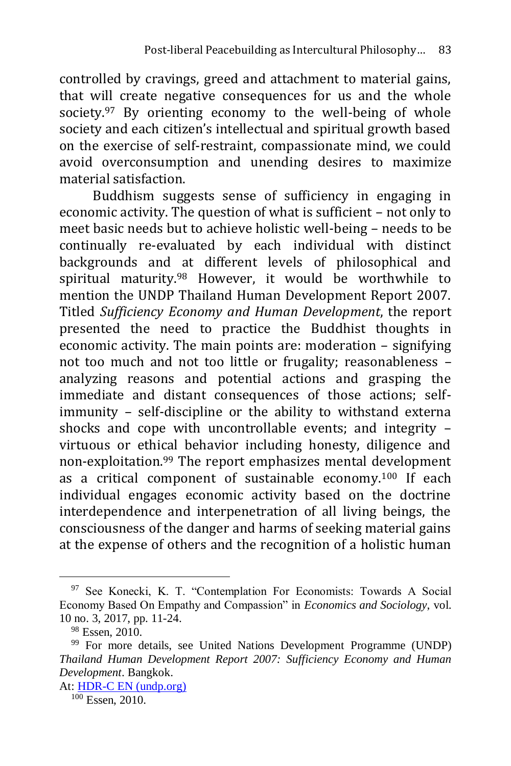controlled by cravings, greed and attachment to material gains, that will create negative consequences for us and the whole society.<sup>97</sup> By orienting economy to the well-being of whole society and each citizen's intellectual and spiritual growth based on the exercise of self-restraint, compassionate mind, we could avoid overconsumption and unending desires to maximize material satisfaction.

Buddhism suggests sense of sufficiency in engaging in economic activity. The question of what is sufficient – not only to meet basic needs but to achieve holistic well-being – needs to be continually re-evaluated by each individual with distinct backgrounds and at different levels of philosophical and spiritual maturity.<sup>98</sup> However, it would be worthwhile to mention the UNDP Thailand Human Development Report 2007. Titled *Sufficiency Economy and Human Development*, the report presented the need to practice the Buddhist thoughts in economic activity. The main points are: moderation – signifying not too much and not too little or frugality; reasonableness – analyzing reasons and potential actions and grasping the immediate and distant consequences of those actions; selfimmunity – self-discipline or the ability to withstand externa shocks and cope with uncontrollable events; and integrity – virtuous or ethical behavior including honesty, diligence and non-exploitation.<sup>99</sup> The report emphasizes mental development as a critical component of sustainable economy.<sup>100</sup> If each individual engages economic activity based on the doctrine interdependence and interpenetration of all living beings, the consciousness of the danger and harms of seeking material gains at the expense of others and the recognition of a holistic human

<sup>97</sup> See Konecki, K. T. "Contemplation For Economists: Towards A Social Economy Based On Empathy and Compassion" in *Economics and Sociology*, vol. 10 no. 3, 2017, pp. 11-24.

<sup>98</sup> Essen, 2010.

<sup>99</sup> For more details, see United Nations Development Programme (UNDP) *Thailand Human Development Report 2007: Sufficiency Economy and Human Development*. Bangkok.

At: [HDR-C EN \(undp.org\)](http://hdr.undp.org/sites/default/files/thailand_2007_en.pdf)

<sup>100</sup> Essen, 2010.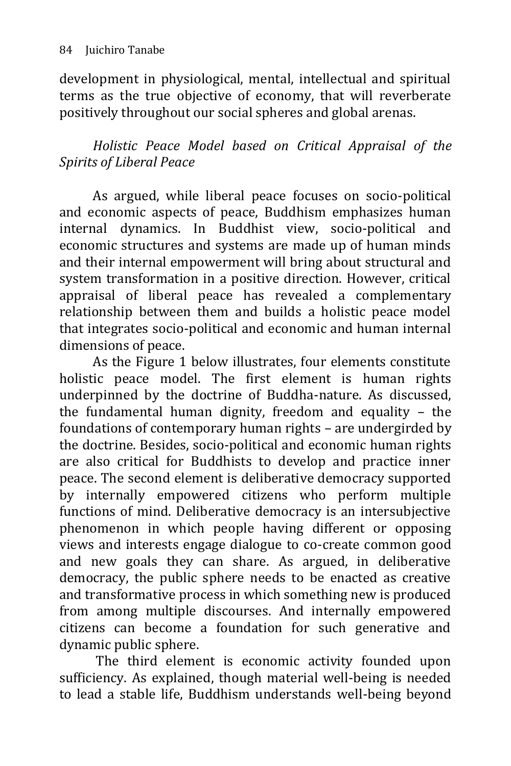development in physiological, mental, intellectual and spiritual terms as the true objective of economy, that will reverberate positively throughout our social spheres and global arenas.

### *Holistic Peace Model based on Critical Appraisal of the Spirits of Liberal Peace*

As argued, while liberal peace focuses on socio-political and economic aspects of peace, Buddhism emphasizes human internal dynamics. In Buddhist view, socio-political and economic structures and systems are made up of human minds and their internal empowerment will bring about structural and system transformation in a positive direction. However, critical appraisal of liberal peace has revealed a complementary relationship between them and builds a holistic peace model that integrates socio-political and economic and human internal dimensions of peace.

As the Figure 1 below illustrates, four elements constitute holistic peace model. The first element is human rights underpinned by the doctrine of Buddha-nature. As discussed, the fundamental human dignity, freedom and equality – the foundations of contemporary human rights – are undergirded by the doctrine. Besides, socio-political and economic human rights are also critical for Buddhists to develop and practice inner peace. The second element is deliberative democracy supported by internally empowered citizens who perform multiple functions of mind. Deliberative democracy is an intersubjective phenomenon in which people having different or opposing views and interests engage dialogue to co-create common good and new goals they can share. As argued, in deliberative democracy, the public sphere needs to be enacted as creative and transformative process in which something new is produced from among multiple discourses. And internally empowered citizens can become a foundation for such generative and dynamic public sphere.

The third element is economic activity founded upon sufficiency. As explained, though material well-being is needed to lead a stable life, Buddhism understands well-being beyond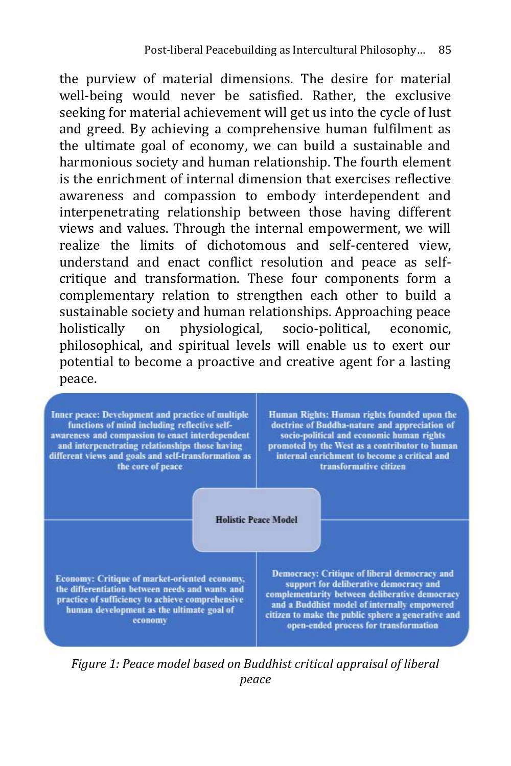the purview of material dimensions. The desire for material well-being would never be satisfied. Rather, the exclusive seeking for material achievement will get us into the cycle of lust and greed. By achieving a comprehensive human fulfilment as the ultimate goal of economy, we can build a sustainable and harmonious society and human relationship. The fourth element is the enrichment of internal dimension that exercises reflective awareness and compassion to embody interdependent and interpenetrating relationship between those having different views and values. Through the internal empowerment, we will realize the limits of dichotomous and self-centered view, understand and enact conflict resolution and peace as selfcritique and transformation. These four components form a complementary relation to strengthen each other to build a sustainable society and human relationships. Approaching peace holistically on physiological, socio-political, economic, philosophical, and spiritual levels will enable us to exert our potential to become a proactive and creative agent for a lasting peace.



*Figure 1: Peace model based on Buddhist critical appraisal of liberal peace*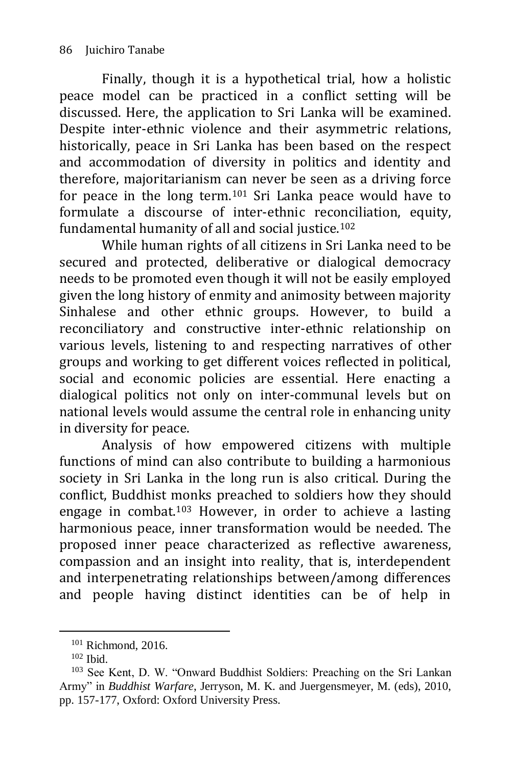Finally, though it is a hypothetical trial, how a holistic peace model can be practiced in a conflict setting will be discussed. Here, the application to Sri Lanka will be examined. Despite inter-ethnic violence and their asymmetric relations, historically, peace in Sri Lanka has been based on the respect and accommodation of diversity in politics and identity and therefore, majoritarianism can never be seen as a driving force for peace in the long term.<sup>101</sup> Sri Lanka peace would have to formulate a discourse of inter-ethnic reconciliation, equity, fundamental humanity of all and social justice.<sup>102</sup>

While human rights of all citizens in Sri Lanka need to be secured and protected, deliberative or dialogical democracy needs to be promoted even though it will not be easily employed given the long history of enmity and animosity between majority Sinhalese and other ethnic groups. However, to build a reconciliatory and constructive inter-ethnic relationship on various levels, listening to and respecting narratives of other groups and working to get different voices reflected in political, social and economic policies are essential. Here enacting a dialogical politics not only on inter-communal levels but on national levels would assume the central role in enhancing unity in diversity for peace.

Analysis of how empowered citizens with multiple functions of mind can also contribute to building a harmonious society in Sri Lanka in the long run is also critical. During the conflict, Buddhist monks preached to soldiers how they should engage in combat.<sup>103</sup> However, in order to achieve a lasting harmonious peace, inner transformation would be needed. The proposed inner peace characterized as reflective awareness, compassion and an insight into reality, that is, interdependent and interpenetrating relationships between/among differences and people having distinct identities can be of help in

 $101$  Richmond, 2016.

 $102$  Ibid.

<sup>103</sup> See Kent, D. W. "Onward Buddhist Soldiers: Preaching on the Sri Lankan Army" in *Buddhist Warfare*, Jerryson, M. K. and Juergensmeyer, M. (eds), 2010, pp. 157-177, Oxford: Oxford University Press.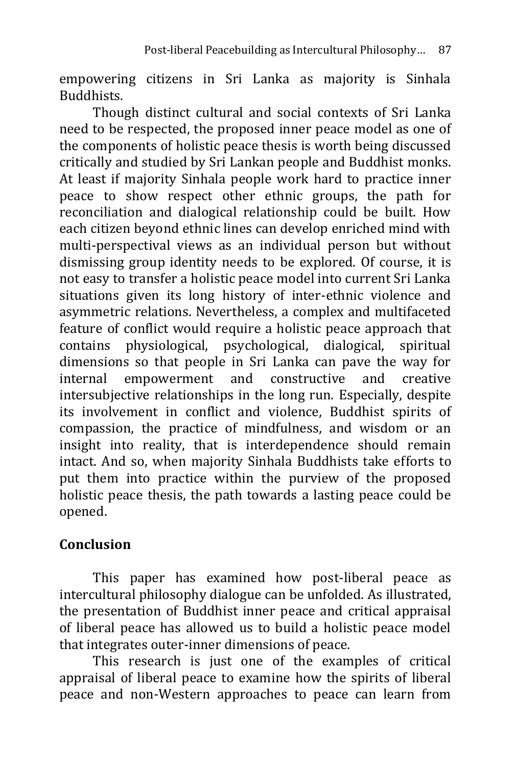empowering citizens in Sri Lanka as majority is Sinhala Buddhists.

Though distinct cultural and social contexts of Sri Lanka need to be respected, the proposed inner peace model as one of the components of holistic peace thesis is worth being discussed critically and studied by Sri Lankan people and Buddhist monks. At least if majority Sinhala people work hard to practice inner peace to show respect other ethnic groups, the path for reconciliation and dialogical relationship could be built. How each citizen beyond ethnic lines can develop enriched mind with multi-perspectival views as an individual person but without dismissing group identity needs to be explored. Of course, it is not easy to transfer a holistic peace model into current Sri Lanka situations given its long history of inter-ethnic violence and asymmetric relations. Nevertheless, a complex and multifaceted feature of conflict would require a holistic peace approach that contains physiological, psychological, dialogical, spiritual dimensions so that people in Sri Lanka can pave the way for internal empowerment and constructive and creative intersubjective relationships in the long run. Especially, despite its involvement in conflict and violence, Buddhist spirits of compassion, the practice of mindfulness, and wisdom or an insight into reality, that is interdependence should remain intact. And so, when majority Sinhala Buddhists take efforts to put them into practice within the purview of the proposed holistic peace thesis, the path towards a lasting peace could be opened.

### **Conclusion**

This paper has examined how post-liberal peace as intercultural philosophy dialogue can be unfolded. As illustrated, the presentation of Buddhist inner peace and critical appraisal of liberal peace has allowed us to build a holistic peace model that integrates outer-inner dimensions of peace.

This research is just one of the examples of critical appraisal of liberal peace to examine how the spirits of liberal peace and non-Western approaches to peace can learn from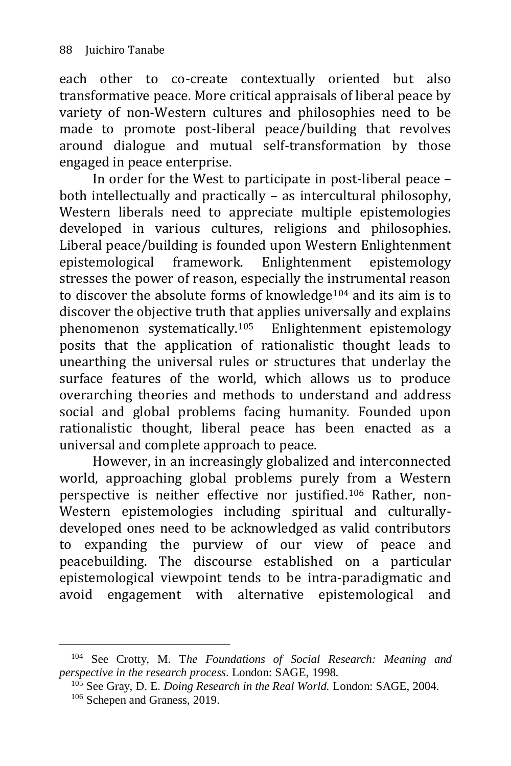-

each other to co-create contextually oriented but also transformative peace. More critical appraisals of liberal peace by variety of non-Western cultures and philosophies need to be made to promote post-liberal peace/building that revolves around dialogue and mutual self-transformation by those engaged in peace enterprise.

In order for the West to participate in post-liberal peace – both intellectually and practically – as intercultural philosophy, Western liberals need to appreciate multiple epistemologies developed in various cultures, religions and philosophies. Liberal peace/building is founded upon Western Enlightenment epistemological framework. Enlightenment epistemology stresses the power of reason, especially the instrumental reason to discover the absolute forms of knowledge $104$  and its aim is to discover the objective truth that applies universally and explains phenomenon systematically.<sup>105</sup> Enlightenment epistemology posits that the application of rationalistic thought leads to unearthing the universal rules or structures that underlay the surface features of the world, which allows us to produce overarching theories and methods to understand and address social and global problems facing humanity. Founded upon rationalistic thought, liberal peace has been enacted as a universal and complete approach to peace.

However, in an increasingly globalized and interconnected world, approaching global problems purely from a Western perspective is neither effective nor justified.<sup>106</sup> Rather, non-Western epistemologies including spiritual and culturallydeveloped ones need to be acknowledged as valid contributors to expanding the purview of our view of peace and peacebuilding. The discourse established on a particular epistemological viewpoint tends to be intra-paradigmatic and avoid engagement with alternative epistemological and

<sup>104</sup> See Crotty, M. T*he Foundations of Social Research: Meaning and perspective in the research process*. London: SAGE, 1998.

<sup>105</sup> See Gray, D. E. *Doing Research in the Real World.* London: SAGE, 2004. <sup>106</sup> Schepen and Graness, 2019.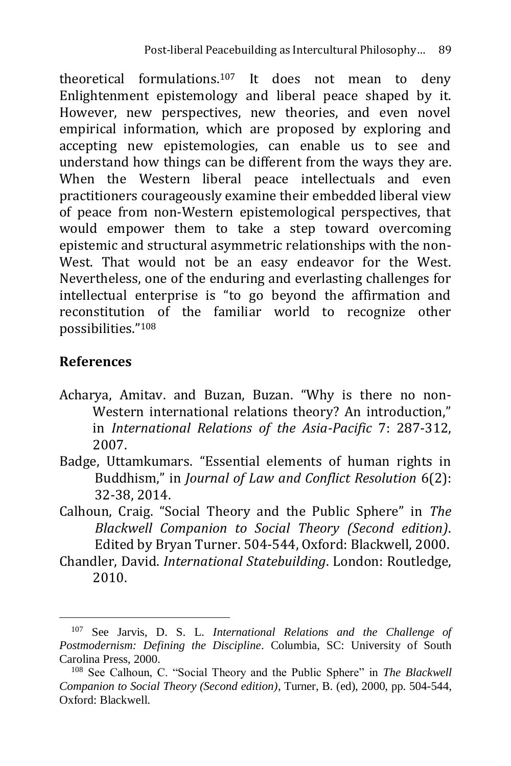theoretical formulations.<sup>107</sup> It does not mean to deny Enlightenment epistemology and liberal peace shaped by it. However, new perspectives, new theories, and even novel empirical information, which are proposed by exploring and accepting new epistemologies, can enable us to see and understand how things can be different from the ways they are. When the Western liberal peace intellectuals and even practitioners courageously examine their embedded liberal view of peace from non-Western epistemological perspectives, that would empower them to take a step toward overcoming epistemic and structural asymmetric relationships with the non-West. That would not be an easy endeavor for the West. Nevertheless, one of the enduring and everlasting challenges for intellectual enterprise is "to go beyond the affirmation and reconstitution of the familiar world to recognize other possibilities."<sup>108</sup>

### **References**

- Acharya, Amitav. and Buzan, Buzan. "Why is there no non-Western international relations theory? An introduction," in *International Relations of the Asia-Pacific* 7: 287-312, 2007.
- Badge, Uttamkumars. "Essential elements of human rights in Buddhism," in *Journal of Law and Conflict Resolution* 6(2): 32-38, 2014.
- Calhoun, Craig. "Social Theory and the Public Sphere" in *The Blackwell Companion to Social Theory (Second edition)*. Edited by Bryan Turner. 504-544, Oxford: Blackwell, 2000.
- Chandler, David. *International Statebuilding*. London: Routledge, 2010.

<sup>107</sup> See Jarvis, D. S. L. *International Relations and the Challenge of Postmodernism: Defining the Discipline*. Columbia, SC: University of South Carolina Press, 2000.

<sup>108</sup> See Calhoun, C. "Social Theory and the Public Sphere" in *The Blackwell Companion to Social Theory (Second edition)*, Turner, B. (ed), 2000, pp. 504-544, Oxford: Blackwell.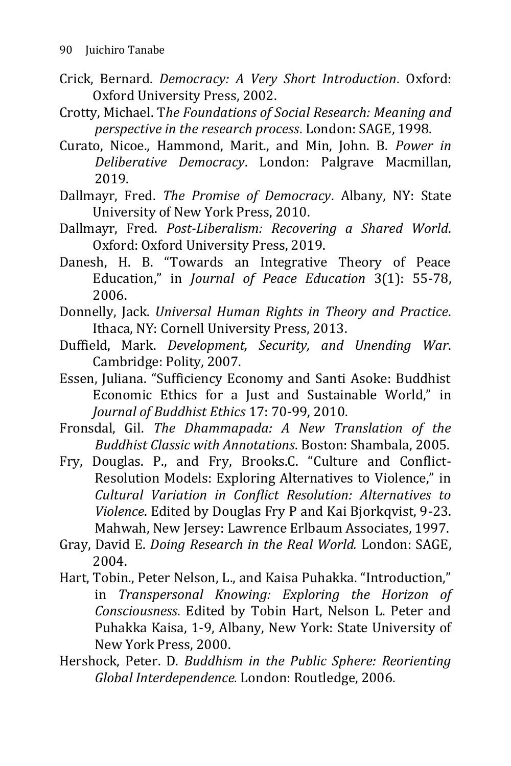- Crick, Bernard. *Democracy: A Very Short Introduction*. Oxford: Oxford University Press, 2002.
- Crotty, Michael. T*he Foundations of Social Research: Meaning and perspective in the research process*. London: SAGE, 1998.
- Curato, Nicoe., Hammond, Marit., and Min, John. B. *Power in Deliberative Democracy*. London: Palgrave Macmillan, 2019.
- Dallmayr, Fred. *The Promise of Democracy*. Albany, NY: State University of New York Press, 2010.
- Dallmayr, Fred. *Post-Liberalism: Recovering a Shared World*. Oxford: Oxford University Press, 2019.
- Danesh, H. B. "Towards an Integrative Theory of Peace Education," in *Journal of Peace Education* 3(1): 55-78, 2006.
- Donnelly, Jack. *Universal Human Rights in Theory and Practice*. Ithaca, NY: Cornell University Press, 2013.
- Duffield, Mark. *Development, Security, and Unending War*. Cambridge: Polity, 2007.
- Essen, Juliana. "Sufficiency Economy and Santi Asoke: Buddhist Economic Ethics for a Just and Sustainable World," in *Journal of Buddhist Ethics* 17: 70-99, 2010.
- Fronsdal, Gil. *The Dhammapada: A New Translation of the Buddhist Classic with Annotations*. Boston: Shambala, 2005.
- Fry, Douglas. P., and Fry, Brooks.C. "Culture and Conflict-Resolution Models: Exploring Alternatives to Violence," in *Cultural Variation in Conflict Resolution: Alternatives to Violence*. Edited by Douglas Fry P and Kai Bjorkqvist, 9-23. Mahwah, New Jersey: Lawrence Erlbaum Associates, 1997.
- Gray, David E. *Doing Research in the Real World.* London: SAGE, 2004.
- Hart, Tobin., Peter Nelson, L., and Kaisa Puhakka. "Introduction," in *Transpersonal Knowing: Exploring the Horizon of Consciousness*. Edited by Tobin Hart, Nelson L. Peter and Puhakka Kaisa, 1-9, Albany, New York: State University of New York Press, 2000.
- Hershock, Peter. D. *Buddhism in the Public Sphere: Reorienting Global Interdependence.* London: Routledge, 2006.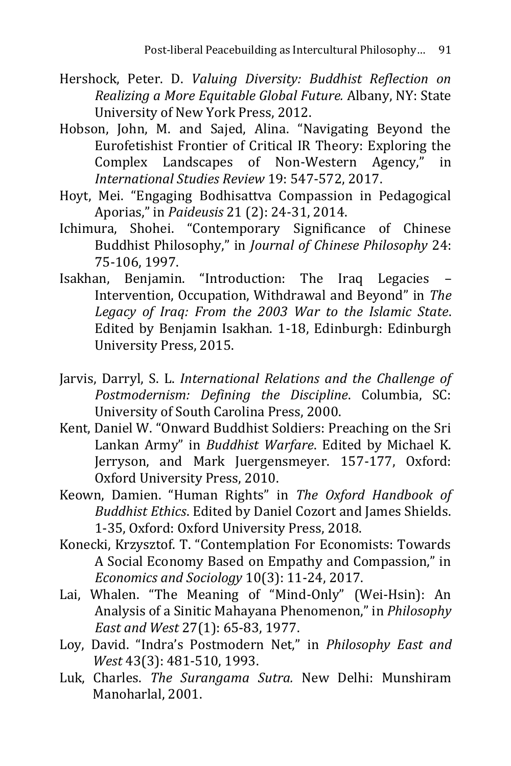- Hershock, Peter. D. *Valuing Diversity: Buddhist Reflection on Realizing a More Equitable Global Future.* Albany, NY: State University of New York Press, 2012.
- Hobson, John, M. and Sajed, Alina. "Navigating Beyond the Eurofetishist Frontier of Critical IR Theory: Exploring the Complex Landscapes of Non-Western Agency," in *International Studies Review* 19: 547-572, 2017.
- Hoyt, Mei. "Engaging Bodhisattva Compassion in Pedagogical Aporias," in *Paideusis* 21 (2): 24-31, 2014.
- Ichimura, Shohei. "Contemporary Significance of Chinese Buddhist Philosophy," in *Journal of Chinese Philosophy* 24: 75-106, 1997.
- Isakhan, Benjamin. "Introduction: The Iraq Legacies Intervention, Occupation, Withdrawal and Beyond" in *The Legacy of Iraq: From the 2003 War to the Islamic State*. Edited by Benjamin Isakhan. 1-18, Edinburgh: Edinburgh University Press, 2015.
- Jarvis, Darryl, S. L. *International Relations and the Challenge of Postmodernism: Defining the Discipline*. Columbia, SC: University of South Carolina Press, 2000.
- Kent, Daniel W. "Onward Buddhist Soldiers: Preaching on the Sri Lankan Army" in *Buddhist Warfare*. Edited by Michael K. Jerryson, and Mark Juergensmeyer. 157-177, Oxford: Oxford University Press, 2010.
- Keown, Damien. "Human Rights" in *The Oxford Handbook of Buddhist Ethics*. Edited by Daniel Cozort and James Shields. 1-35, Oxford: Oxford University Press, 2018.
- Konecki, Krzysztof. T. "Contemplation For Economists: Towards A Social Economy Based on Empathy and Compassion," in *Economics and Sociology* 10(3): 11-24, 2017.
- Lai, Whalen. "The Meaning of "Mind-Only" (Wei-Hsin): An Analysis of a Sinitic Mahayana Phenomenon," in *Philosophy East and West* 27(1): 65-83, 1977.
- Loy, David. "Indra's Postmodern Net," in *Philosophy East and West* 43(3): 481-510, 1993.
- Luk, Charles. *The Surangama Sutra.* New Delhi: Munshiram Manoharlal, 2001.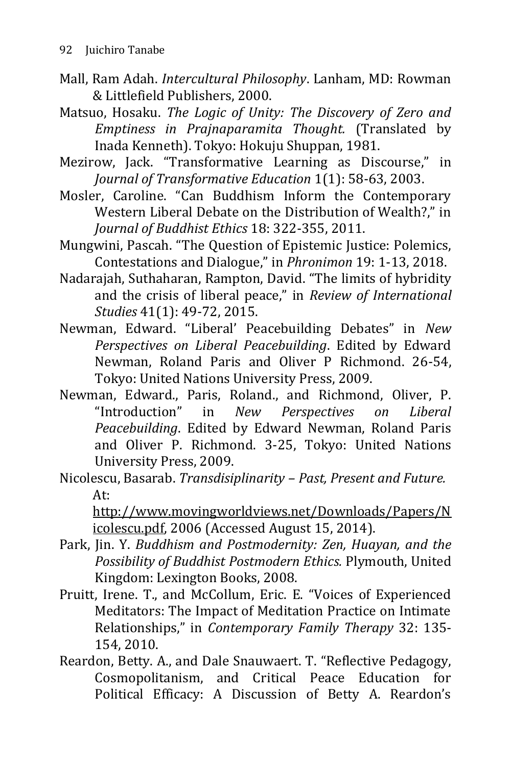- Mall, Ram Adah. *Intercultural Philosophy*. Lanham, MD: Rowman & Littlefield Publishers, 2000.
- Matsuo, Hosaku. *The Logic of Unity: The Discovery of Zero and Emptiness in Prajnaparamita Thought.* (Translated by Inada Kenneth). Tokyo: Hokuju Shuppan, 1981.
- Mezirow, Jack. "Transformative Learning as Discourse," in *Journal of Transformative Education* 1(1): 58-63, 2003.
- Mosler, Caroline. "Can Buddhism Inform the Contemporary Western Liberal Debate on the Distribution of Wealth?," in *Journal of Buddhist Ethics* 18: 322-355, 2011.
- Mungwini, Pascah. "The Question of Epistemic Justice: Polemics, Contestations and Dialogue," in *Phronimon* 19: 1-13, 2018.
- Nadarajah, Suthaharan, Rampton, David. "The limits of hybridity and the crisis of liberal peace," in *Review of International Studies* 41(1): 49-72, 2015.
- Newman, Edward. "Liberal' Peacebuilding Debates" in *New Perspectives on Liberal Peacebuilding*. Edited by Edward Newman, Roland Paris and Oliver P Richmond. 26-54, Tokyo: United Nations University Press, 2009.
- Newman, Edward., Paris, Roland., and Richmond, Oliver, P. "Introduction" in *New Perspectives on Liberal Peacebuilding*. Edited by Edward Newman, Roland Paris and Oliver P. Richmond. 3-25, Tokyo: United Nations University Press, 2009.
- Nicolescu, Basarab. *Transdisiplinarity – Past, Present and Future.*  At:

[http://www.movingworldviews.net/Downloads/Papers/N](http://www.movingworldviews.net/Downloads/Papers/Nicolescu.pdf) [icolescu.pdf,](http://www.movingworldviews.net/Downloads/Papers/Nicolescu.pdf) 2006 (Accessed August 15, 2014).

- Park, Jin. Y. *Buddhism and Postmodernity: Zen, Huayan, and the Possibility of Buddhist Postmodern Ethics.* Plymouth, United Kingdom: Lexington Books, 2008.
- Pruitt, Irene. T., and McCollum, Eric. E. "Voices of Experienced Meditators: The Impact of Meditation Practice on Intimate Relationships," in *Contemporary Family Therapy* 32: 135- 154, 2010.
- Reardon, Betty. A., and Dale Snauwaert. T. "Reflective Pedagogy, Cosmopolitanism, and Critical Peace Education for Political Efficacy: A Discussion of Betty A. Reardon's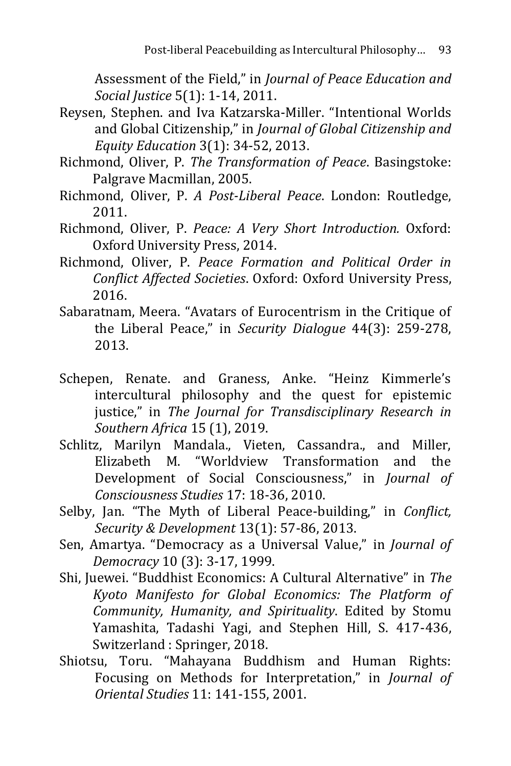Assessment of the Field," in *Journal of Peace Education and Social Justice* 5(1): 1-14, 2011.

- Reysen, Stephen. and Iva Katzarska-Miller. "Intentional Worlds and Global Citizenship," in *Journal of Global Citizenship and Equity Education* 3(1): 34-52, 2013.
- Richmond, Oliver, P. *The Transformation of Peace*. Basingstoke: Palgrave Macmillan, 2005.
- Richmond, Oliver, P. *A Post-Liberal Peace*. London: Routledge, 2011.
- Richmond, Oliver, P. *Peace: A Very Short Introduction.* Oxford: Oxford University Press, 2014.
- Richmond, Oliver, P. *Peace Formation and Political Order in Conflict Affected Societies*. Oxford: Oxford University Press, 2016.
- Sabaratnam, Meera. "Avatars of Eurocentrism in the Critique of the Liberal Peace," in *Security Dialogue* 44(3): 259-278, 2013.
- Schepen, Renate. and Graness, Anke. "Heinz Kimmerle's intercultural philosophy and the quest for epistemic justice," in *The Journal for Transdisciplinary Research in Southern Africa* 15 (1), 2019.
- Schlitz, Marilyn Mandala., Vieten, Cassandra., and Miller, Elizabeth M. "Worldview Transformation and the Development of Social Consciousness," in *Journal of Consciousness Studies* 17: 18-36, 2010.
- Selby, Jan. "The Myth of Liberal Peace-building," in *Conflict, Security & Development* 13(1): 57-86, 2013.
- Sen, Amartya. "Democracy as a Universal Value," in *Journal of Democracy* 10 (3): 3-17, 1999.
- Shi, Juewei. "Buddhist Economics: A Cultural Alternative" in *The Kyoto Manifesto for Global Economics: The Platform of Community, Humanity, and Spirituality*. Edited by Stomu Yamashita, Tadashi Yagi, and Stephen Hill, S. 417-436, Switzerland : Springer, 2018.
- Shiotsu, Toru. "Mahayana Buddhism and Human Rights: Focusing on Methods for Interpretation," in *Journal of Oriental Studies* 11: 141-155, 2001.